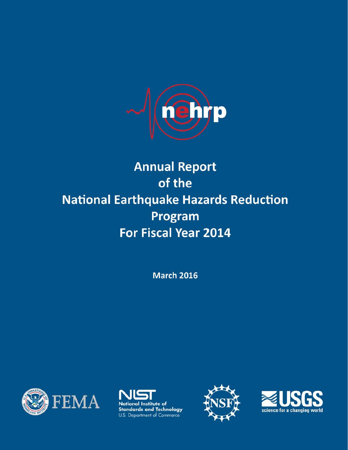

# **Annual Report** of the **National Earthquake Hazards Reduction** Program For Fiscal Year 2014

**March 2016** 







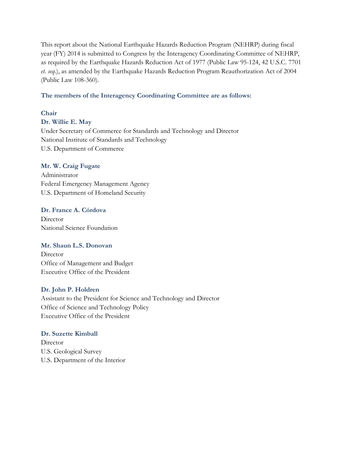This report about the National Earthquake Hazards Reduction Program (NEHRP) during fiscal year (FY) 2014 is submitted to Congress by the Interagency Coordinating Committee of NEHRP, as required by the Earthquake Hazards Reduction Act of 1977 (Public Law 95-124, 42 U.S.C. 7701 *et. seq*.), as amended by the Earthquake Hazards Reduction Program Reauthorization Act of 2004 (Public Law 108-360).

#### **The members of the Interagency Coordinating Committee are as follows:**

#### **Chair**

#### **Dr. Willie E. May**

Under Secretary of Commerce for Standards and Technology and Director National Institute of Standards and Technology U.S. Department of Commerce

#### **Mr. W. Craig Fugate**

Administrator Federal Emergency Management Agency U.S. Department of Homeland Security

#### **Dr. France A. Córdova**

Director National Science Foundation

#### **Mr. Shaun L.S. Donovan**

**Director** Office of Management and Budget Executive Office of the President

#### **Dr. John P. Holdren**

Assistant to the President for Science and Technology and Director Office of Science and Technology Policy Executive Office of the President

#### **Dr. Suzette Kimball**

Director U.S. Geological Survey U.S. Department of the Interior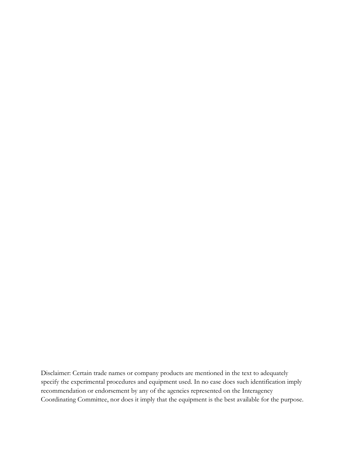Disclaimer: Certain trade names or company products are mentioned in the text to adequately specify the experimental procedures and equipment used. In no case does such identification imply recommendation or endorsement by any of the agencies represented on the Interagency Coordinating Committee, nor does it imply that the equipment is the best available for the purpose.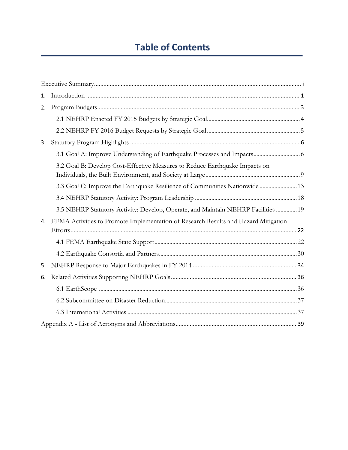# **Table of Contents**

L.

| 1. |                                                                                     |
|----|-------------------------------------------------------------------------------------|
| 2. |                                                                                     |
|    |                                                                                     |
|    |                                                                                     |
| 3. |                                                                                     |
|    |                                                                                     |
|    | 3.2 Goal B: Develop Cost-Effective Measures to Reduce Earthquake Impacts on         |
|    | 3.3 Goal C: Improve the Earthquake Resilience of Communities Nationwide  13         |
|    |                                                                                     |
|    | 3.5 NEHRP Statutory Activity: Develop, Operate, and Maintain NEHRP Facilities  19   |
| 4. | FEMA Activities to Promote Implementation of Research Results and Hazard Mitigation |
|    |                                                                                     |
|    |                                                                                     |
|    |                                                                                     |
| 5. |                                                                                     |
| 6. |                                                                                     |
|    |                                                                                     |
|    |                                                                                     |
|    |                                                                                     |
|    |                                                                                     |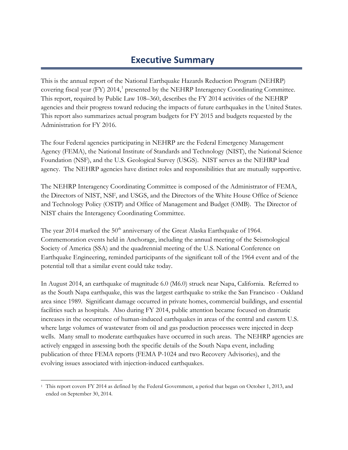# **Executive Summary**

<span id="page-4-0"></span>This is the annual report of the National Earthquake Hazards Reduction Program (NEHRP) covering fiscal year (FY) 20[1](#page-4-1)4,<sup>1</sup> presented by the NEHRP Interagency Coordinating Committee. This report, required by Public Law 108–360, describes the FY 2014 activities of the NEHRP agencies and their progress toward reducing the impacts of future earthquakes in the United States. This report also summarizes actual program budgets for FY 2015 and budgets requested by the Administration for FY 2016.

The four Federal agencies participating in NEHRP are the Federal Emergency Management Agency (FEMA), the National Institute of Standards and Technology (NIST), the National Science Foundation (NSF), and the U.S. Geological Survey (USGS). NIST serves as the NEHRP lead agency. The NEHRP agencies have distinct roles and responsibilities that are mutually supportive.

The NEHRP Interagency Coordinating Committee is composed of the Administrator of FEMA, the Directors of NIST, NSF, and USGS, and the Directors of the White House Office of Science and Technology Policy (OSTP) and Office of Management and Budget (OMB). The Director of NIST chairs the Interagency Coordinating Committee.

The year 2014 marked the  $50<sup>th</sup>$  anniversary of the Great Alaska Earthquake of 1964. Commemoration events held in Anchorage, including the annual meeting of the Seismological Society of America (SSA) and the quadrennial meeting of the U.S. National Conference on Earthquake Engineering, reminded participants of the significant toll of the 1964 event and of the potential toll that a similar event could take today.

In August 2014, an earthquake of magnitude 6.0 (M6.0) struck near Napa, California. Referred to as the South Napa earthquake, this was the largest earthquake to strike the San Francisco - Oakland area since 1989. Significant damage occurred in private homes, commercial buildings, and essential facilities such as hospitals. Also during FY 2014, public attention became focused on dramatic increases in the occurrence of human-induced earthquakes in areas of the central and eastern U.S. where large volumes of wastewater from oil and gas production processes were injected in deep wells. Many small to moderate earthquakes have occurred in such areas. The NEHRP agencies are actively engaged in assessing both the specific details of the South Napa event, including publication of three FEMA reports (FEMA P-1024 and two Recovery Advisories), and the evolving issues associated with injection-induced earthquakes.

<span id="page-4-1"></span> $\overline{a}$ <sup>1</sup> This report covers FY 2014 as defined by the Federal Government, a period that began on October 1, 2013, and ended on September 30, 2014.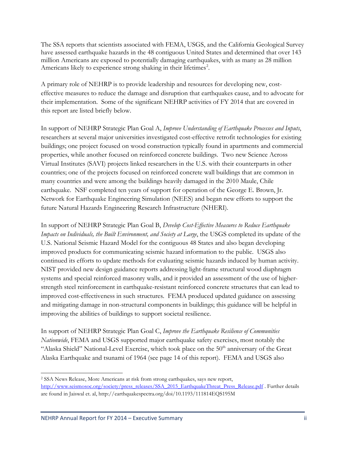The SSA reports that scientists associated with FEMA, USGS, and the California Geological Survey have assessed earthquake hazards in the 48 contiguous United States and determined that over 143 million Americans are exposed to potentially damaging earthquakes, with as many as 28 million Americans likely to experience strong shaking in their lifetimes<sup>[2](#page-5-0)</sup>.

A primary role of NEHRP is to provide leadership and resources for developing new, costeffective measures to reduce the damage and disruption that earthquakes cause, and to advocate for their implementation. Some of the significant NEHRP activities of FY 2014 that are covered in this report are listed briefly below.

In support of NEHRP Strategic Plan Goal A, *Improve Understanding of Earthquake Processes and Inputs*, researchers at several major universities investigated cost-effective retrofit technologies for existing buildings; one project focused on wood construction typically found in apartments and commercial properties, while another focused on reinforced concrete buildings. Two new Science Across Virtual Institutes (SAVI) projects linked researchers in the U.S. with their counterparts in other countries; one of the projects focused on reinforced concrete wall buildings that are common in many countries and were among the buildings heavily damaged in the 2010 Maule, Chile earthquake. NSF completed ten years of support for operation of the George E. Brown, Jr. Network for Earthquake Engineering Simulation (NEES) and began new efforts to support the future Natural Hazards Engineering Research Infrastructure (NHERI).

In support of NEHRP Strategic Plan Goal B, *Develop Cost-Effective Measures to Reduce Earthquake Impacts on Individuals, the Built Environment, and Society at Large*, the USGS completed its update of the U.S. National Seismic Hazard Model for the contiguous 48 States and also began developing improved products for communicating seismic hazard information to the public. USGS also continued its efforts to update methods for evaluating seismic hazards induced by human activity. NIST provided new design guidance reports addressing light-frame structural wood diaphragm systems and special reinforced masonry walls, and it provided an assessment of the use of higherstrength steel reinforcement in earthquake-resistant reinforced concrete structures that can lead to improved cost-effectiveness in such structures. FEMA produced updated guidance on assessing and mitigating damage in non-structural components in buildings; this guidance will be helpful in improving the abilities of buildings to support societal resilience.

In support of NEHRP Strategic Plan Goal C, *Improve the Earthquake Resilience of Communities Nationwide*, FEMA and USGS supported major earthquake safety exercises, most notably the "Alaska Shield" National-Level Exercise, which took place on the 50<sup>th</sup> anniversary of the Great Alaska Earthquake and tsunami of 1964 (see page 14 of this report). FEMA and USGS also

 $\overline{a}$ 

<span id="page-5-0"></span><sup>2</sup> SSA News Release, More Americans at risk from strong earthquakes, says new report, [http://www.seismosoc.org/society/press\\_releases/SSA\\_2015\\_EarthquakeThreat\\_Press\\_Release.pdf](http://www.seismosoc.org/society/press_releases/SSA_2015_EarthquakeThreat_Press_Release.pdf) . Further details are found in Jaiswal et. al, http://earthquakespectra.org/doi/10.1193/111814EQS195M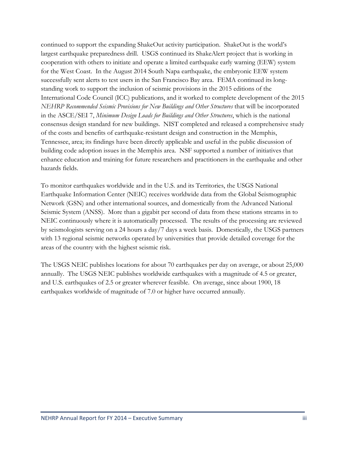continued to support the expanding ShakeOut activity participation. ShakeOut is the world's largest earthquake preparedness drill. USGS continued its ShakeAlert project that is working in cooperation with others to initiate and operate a limited earthquake early warning (EEW) system for the West Coast. In the August 2014 South Napa earthquake, the embryonic EEW system successfully sent alerts to test users in the San Francisco Bay area. FEMA continued its longstanding work to support the inclusion of seismic provisions in the 2015 editions of the International Code Council (ICC) publications, and it worked to complete development of the 2015 *NEHRP Recommended Seismic Provisions for New Buildings and Other Structures* that will be incorporated in the ASCE/SEI 7, *Minimum Design Loads for Buildings and Other Structures*, which is the national consensus design standard for new buildings. NIST completed and released a comprehensive study of the costs and benefits of earthquake-resistant design and construction in the Memphis, Tennessee, area; its findings have been directly applicable and useful in the public discussion of building code adoption issues in the Memphis area. NSF supported a number of initiatives that enhance education and training for future researchers and practitioners in the earthquake and other hazards fields.

To monitor earthquakes worldwide and in the U.S. and its Territories, the USGS National Earthquake Information Center (NEIC) receives worldwide data from the Global Seismographic Network (GSN) and other international sources, and domestically from the Advanced National Seismic System (ANSS). More than a gigabit per second of data from these stations streams in to NEIC continuously where it is automatically processed. The results of the processing are reviewed by seismologists serving on a 24 hours a day/7 days a week basis. Domestically, the USGS partners with 13 regional seismic networks operated by universities that provide detailed coverage for the areas of the country with the highest seismic risk.

The USGS NEIC publishes locations for about 70 earthquakes per day on average, or about 25,000 annually. The USGS NEIC publishes worldwide earthquakes with a magnitude of 4.5 or greater, and U.S. earthquakes of 2.5 or greater wherever feasible. On average, since about 1900, 18 earthquakes worldwide of magnitude of 7.0 or higher have occurred annually.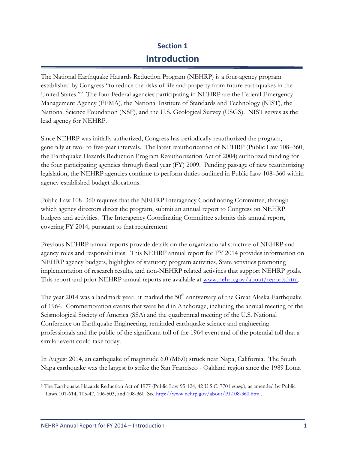# **Section 1 Introduction**

<span id="page-7-0"></span>The National Earthquake Hazards Reduction Program (NEHRP) is a four-agency program established by Congress "to reduce the risks of life and property from future earthquakes in the United States."[3](#page-7-1) The four Federal agencies participating in NEHRP are the Federal Emergency Management Agency (FEMA), the National Institute of Standards and Technology (NIST), the National Science Foundation (NSF), and the U.S. Geological Survey (USGS). NIST serves as the lead agency for NEHRP.

Since NEHRP was initially authorized, Congress has periodically reauthorized the program, generally at two- to five-year intervals. The latest reauthorization of NEHRP (Public Law 108–360, the Earthquake Hazards Reduction Program Reauthorization Act of 2004) authorized funding for the four participating agencies through fiscal year (FY) 2009. Pending passage of new reauthorizing legislation, the NEHRP agencies continue to perform duties outlined in Public Law 108–360 within agency-established budget allocations.

Public Law 108–360 requires that the NEHRP Interagency Coordinating Committee, through which agency directors direct the program, submit an annual report to Congress on NEHRP budgets and activities. The Interagency Coordinating Committee submits this annual report, covering FY 2014, pursuant to that requirement.

Previous NEHRP annual reports provide details on the organizational structure of NEHRP and agency roles and responsibilities. This NEHRP annual report for FY 2014 provides information on NEHRP agency budgets, highlights of statutory program activities, State activities promoting implementation of research results, and non-NEHRP related activities that support NEHRP goals. This report and prior NEHRP annual reports are available at [www.nehrp.gov/about/reports.htm.](http://www.nehrp.gov/about/reports.htm)

The year 2014 was a landmark year: it marked the  $50<sup>th</sup>$  anniversary of the Great Alaska Earthquake of 1964. Commemoration events that were held in Anchorage, including the annual meeting of the Seismological Society of America (SSA) and the quadrennial meeting of the U.S. National Conference on Earthquake Engineering, reminded earthquake science and engineering professionals and the public of the significant toll of the 1964 event and of the potential toll that a similar event could take today.

In August 2014, an earthquake of magnitude 6.0 (M6.0) struck near Napa, California. The South Napa earthquake was the largest to strike the San Francisco - Oakland region since the 1989 Loma

<span id="page-7-1"></span> $\overline{a}$ <sup>3</sup> The Earthquake Hazards Reduction Act of 1977 (Public Law 95-124, 42 U.S.C. 7701 *et seq.*), as amended by Public Laws 101-614, 105-47, 106-503, and 108-360. Se[e http://www.nehrp.gov/about/PL108-360.htm](http://www.nehrp.gov/about/PL108-360.htm) .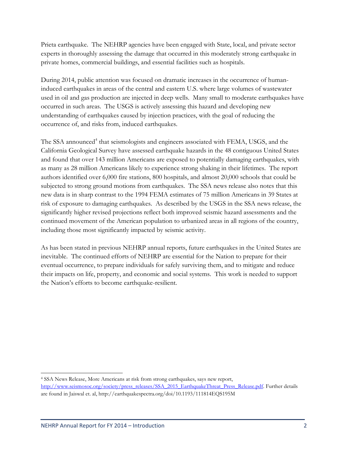Prieta earthquake. The NEHRP agencies have been engaged with State, local, and private sector experts in thoroughly assessing the damage that occurred in this moderately strong earthquake in private homes, commercial buildings, and essential facilities such as hospitals.

During 2014, public attention was focused on dramatic increases in the occurrence of humaninduced earthquakes in areas of the central and eastern U.S. where large volumes of wastewater used in oil and gas production are injected in deep wells. Many small to moderate earthquakes have occurred in such areas. The USGS is actively assessing this hazard and developing new understanding of earthquakes caused by injection practices, with the goal of reducing the occurrence of, and risks from, induced earthquakes.

The SSA announced<sup>[4](#page-8-0)</sup> that seismologists and engineers associated with FEMA, USGS, and the California Geological Survey have assessed earthquake hazards in the 48 contiguous United States and found that over 143 million Americans are exposed to potentially damaging earthquakes, with as many as 28 million Americans likely to experience strong shaking in their lifetimes. The report authors identified over 6,000 fire stations, 800 hospitals, and almost 20,000 schools that could be subjected to strong ground motions from earthquakes. The SSA news release also notes that this new data is in sharp contrast to the 1994 FEMA estimates of 75 million Americans in 39 States at risk of exposure to damaging earthquakes. As described by the USGS in the SSA news release, the significantly higher revised projections reflect both improved seismic hazard assessments and the continued movement of the American population to urbanized areas in all regions of the country, including those most significantly impacted by seismic activity.

As has been stated in previous NEHRP annual reports, future earthquakes in the United States are inevitable. The continued efforts of NEHRP are essential for the Nation to prepare for their eventual occurrence, to prepare individuals for safely surviving them, and to mitigate and reduce their impacts on life, property, and economic and social systems. This work is needed to support the Nation's efforts to become earthquake-resilient.

 $\overline{a}$ 

<span id="page-8-0"></span><sup>4</sup> SSA News Release, More Americans at risk from strong earthquakes, says new report, [http://www.seismosoc.org/society/press\\_releases/SSA\\_2015\\_EarthquakeThreat\\_Press\\_Release.pdf.](http://www.seismosoc.org/society/press_releases/SSA_2015_EarthquakeThreat_Press_Release.pdf) Further details are found in Jaiswal et. al, http://earthquakespectra.org/doi/10.1193/111814EQS195M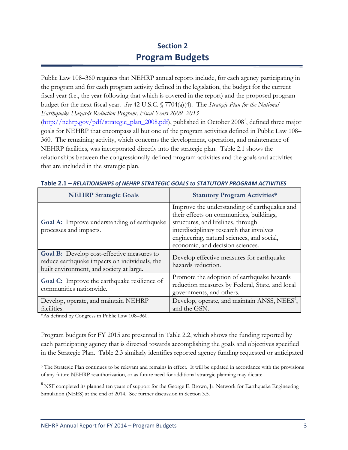# **Section 2 Program Budgets**

<span id="page-9-0"></span>Public Law 108–360 requires that NEHRP annual reports include, for each agency participating in the program and for each program activity defined in the legislation, the budget for the current fiscal year (i.e., the year following that which is covered in the report) and the proposed program budget for the next fiscal year. *See* 42 U.S.C. § 7704(a)(4). The *Strategic Plan for the National Earthquake Hazards Reduction Program, Fiscal Years 2009–2013* [\(http://nehrp.gov/pdf/strategic\\_plan\\_2008.pdf\)](http://nehrp.gov/pdf/strategic_plan_2008.pdf), published in October 2008<sup>[5](#page-9-1)</sup>, defined three major goals for NEHRP that encompass all but one of the program activities defined in Public Law 108– 360. The remaining activity, which concerns the development, operation, and maintenance of NEHRP facilities, was incorporated directly into the strategic plan. Table 2.1 shows the relationships between the congressionally defined program activities and the goals and activities that are included in the strategic plan.

| <b>NEHRP Strategic Goals</b>                                                                                                                   | <b>Statutory Program Activities*</b>                                                                                                                                                                                                                         |
|------------------------------------------------------------------------------------------------------------------------------------------------|--------------------------------------------------------------------------------------------------------------------------------------------------------------------------------------------------------------------------------------------------------------|
| Goal A: Improve understanding of earthquake<br>processes and impacts.                                                                          | Improve the understanding of earthquakes and<br>their effects on communities, buildings,<br>structures, and lifelines, through<br>interdisciplinary research that involves<br>engineering, natural sciences, and social,<br>economic, and decision sciences. |
| <b>Goal B:</b> Develop cost-effective measures to<br>reduce earthquake impacts on individuals, the<br>built environment, and society at large. | Develop effective measures for earthquake<br>hazards reduction.                                                                                                                                                                                              |
| Goal C: Improve the earthquake resilience of<br>communities nationwide.                                                                        | Promote the adoption of earthquake hazards<br>reduction measures by Federal, State, and local<br>governments, and others.                                                                                                                                    |
| Develop, operate, and maintain NEHRP<br>facilities.                                                                                            | Develop, operate, and maintain ANSS, NEES <sup>6</sup> ,<br>and the GSN.                                                                                                                                                                                     |

\*As defined by Congress in Public Law 108–360.

 $\overline{a}$ 

Program budgets for FY 2015 are presented in Table 2.2, which shows the funding reported by each participating agency that is directed towards accomplishing the goals and objectives specified in the Strategic Plan. Table 2.3 similarly identifies reported agency funding requested or anticipated

<span id="page-9-1"></span><sup>5</sup> The Strategic Plan continues to be relevant and remains in effect. It will be updated in accordance with the provisions of any future NEHRP reauthorization, or as future need for additional strategic planning may dictate.

<span id="page-9-2"></span><sup>&</sup>lt;sup>6</sup> NSF completed its planned ten years of support for the George E. Brown, Jr. Network for Earthquake Engineering Simulation (NEES) at the end of 2014. See further discussion in Section 3.5.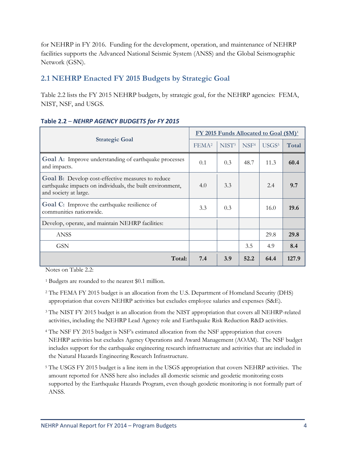for NEHRP in FY 2016. Funding for the development, operation, and maintenance of NEHRP facilities supports the Advanced National Seismic System (ANSS) and the Global Seismographic Network (GSN).

### <span id="page-10-0"></span>**2.1 NEHRP Enacted FY 2015 Budgets by Strategic Goal**

Table 2.2 lists the FY 2015 NEHRP budgets, by strategic goal, for the NEHRP agencies: FEMA, NIST, NSF, and USGS.

|                                                                                                                                                | FY 2015 Funds Allocated to Goal (\$M) <sup>1</sup> |                   |                  |                   |       |
|------------------------------------------------------------------------------------------------------------------------------------------------|----------------------------------------------------|-------------------|------------------|-------------------|-------|
| <b>Strategic Goal</b>                                                                                                                          | FEMA <sup>2</sup>                                  | NIST <sup>3</sup> | NSF <sup>4</sup> | USGS <sup>5</sup> | Total |
| Goal A: Improve understanding of earthquake processes<br>and impacts.                                                                          | 0.1                                                | 0.3               | 48.7             | 11.3              | 60.4  |
| <b>Goal B:</b> Develop cost-effective measures to reduce<br>earthquake impacts on individuals, the built environment,<br>and society at large. | 4.0                                                | 3.3               |                  | 2.4               | 9.7   |
| <b>Goal C:</b> Improve the earthquake resilience of<br>communities nationwide.                                                                 | 3.3                                                | 0.3               |                  | 16.0              | 19.6  |
| Develop, operate, and maintain NEHRP facilities:                                                                                               |                                                    |                   |                  |                   |       |
| <b>ANSS</b>                                                                                                                                    |                                                    |                   |                  | 29.8              | 29.8  |
| <b>GSN</b>                                                                                                                                     |                                                    |                   | 3.5              | 4.9               | 8.4   |
| Total:                                                                                                                                         | 7.4                                                | 3.9               | 52.2             | 64.4              | 127.9 |

#### **Table 2.2** – *NEHRP AGENCY BUDGETS for FY 2015*

Notes on Table 2.2:

<sup>1</sup> Budgets are rounded to the nearest \$0.1 million.

- <sup>2</sup> The FEMA FY 2015 budget is an allocation from the U.S. Department of Homeland Security (DHS) appropriation that covers NEHRP activities but excludes employee salaries and expenses (S&E).
- <sup>3</sup> The NIST FY 2015 budget is an allocation from the NIST appropriation that covers all NEHRP-related activities, including the NEHRP Lead Agency role and Earthquake Risk Reduction R&D activities.
- <sup>4</sup> The NSF FY 2015 budget is NSF's estimated allocation from the NSF appropriation that covers NEHRP activities but excludes Agency Operations and Award Management (AOAM). The NSF budget includes support for the earthquake engineering research infrastructure and activities that are included in the Natural Hazards Engineering Research Infrastructure.
- <sup>5</sup> The USGS FY 2015 budget is a line item in the USGS appropriation that covers NEHRP activities. The amount reported for ANSS here also includes all domestic seismic and geodetic monitoring costs supported by the Earthquake Hazards Program, even though geodetic monitoring is not formally part of ANSS.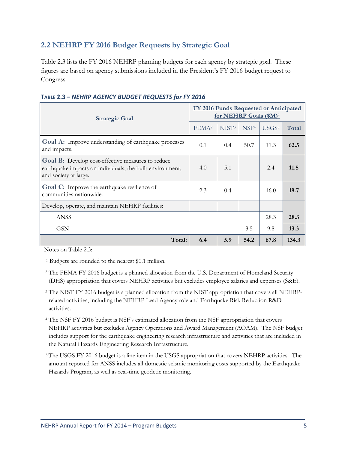### <span id="page-11-0"></span>**2.2 NEHRP FY 2016 Budget Requests by Strategic Goal**

Table 2.3 lists the FY 2016 NEHRP planning budgets for each agency by strategic goal. These figures are based on agency submissions included in the President's FY 2016 budget request to Congress.

| <b>Strategic Goal</b>                                                                                                                   | <b>FY 2016 Funds Requested or Anticipated</b><br>for NEHRP Goals (\$M) <sup>1</sup> |                   |                  |                   |       |
|-----------------------------------------------------------------------------------------------------------------------------------------|-------------------------------------------------------------------------------------|-------------------|------------------|-------------------|-------|
|                                                                                                                                         | FEMA <sup>2</sup>                                                                   | NIST <sup>3</sup> | NSF <sup>4</sup> | USGS <sup>5</sup> | Total |
| Goal A: Improve understanding of earthquake processes<br>and impacts.                                                                   | 0.1                                                                                 | 0.4               | 50.7             | 11.3              | 62.5  |
| Goal B: Develop cost-effective measures to reduce<br>earthquake impacts on individuals, the built environment,<br>and society at large. | 4.0                                                                                 | 5.1               |                  | 2.4               | 11.5  |
| Goal C: Improve the earthquake resilience of<br>communities nationwide.                                                                 | 2.3                                                                                 | 0.4               |                  | 16.0              | 18.7  |
| Develop, operate, and maintain NEHRP facilities:                                                                                        |                                                                                     |                   |                  |                   |       |
| <b>ANSS</b>                                                                                                                             |                                                                                     |                   |                  | 28.3              | 28.3  |
| <b>GSN</b>                                                                                                                              |                                                                                     |                   | 3.5              | 9.8               | 13.3  |
| Total:                                                                                                                                  | 6.4                                                                                 | 5.9               | 54.2             | 67.8              | 134.3 |

#### **TABLE 2.3 –** *NEHRP AGENCY BUDGET REQUESTS for FY 2016*

Notes on Table 2.3:

<sup>1</sup> Budgets are rounded to the nearest \$0.1 million.

- <sup>2</sup> The FEMA FY 2016 budget is a planned allocation from the U.S. Department of Homeland Security (DHS) appropriation that covers NEHRP activities but excludes employee salaries and expenses (S&E).
- <sup>3</sup> The NIST FY 2016 budget is a planned allocation from the NIST appropriation that covers all NEHRPrelated activities, including the NEHRP Lead Agency role and Earthquake Risk Reduction R&D activities.
- <sup>4</sup> The NSF FY 2016 budget is NSF's estimated allocation from the NSF appropriation that covers NEHRP activities but excludes Agency Operations and Award Management (AOAM). The NSF budget includes support for the earthquake engineering research infrastructure and activities that are included in the Natural Hazards Engineering Research Infrastructure.
- <sup>5</sup> The USGS FY 2016 budget is a line item in the USGS appropriation that covers NEHRP activities. The amount reported for ANSS includes all domestic seismic monitoring costs supported by the Earthquake Hazards Program, as well as real-time geodetic monitoring.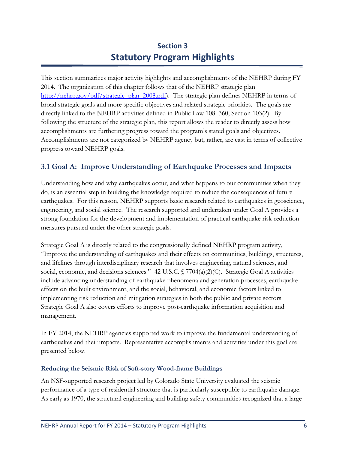# **Section 3 Statutory Program Highlights**

<span id="page-12-0"></span>This section summarizes major activity highlights and accomplishments of the NEHRP during FY 2014. The organization of this chapter follows that of the NEHRP strategic plan [http://nehrp.gov/pdf/strategic\\_plan\\_2008.pdf\)](http://nehrp.gov/pdf/strategic_plan_2008.pdf). The strategic plan defines NEHRP in terms of broad strategic goals and more specific objectives and related strategic priorities. The goals are directly linked to the NEHRP activities defined in Public Law 108–360, Section 103(2). By following the structure of the strategic plan, this report allows the reader to directly assess how accomplishments are furthering progress toward the program's stated goals and objectives. Accomplishments are not categorized by NEHRP agency but, rather, are cast in terms of collective progress toward NEHRP goals.

### <span id="page-12-1"></span>**3.1 Goal A: Improve Understanding of Earthquake Processes and Impacts**

Understanding how and why earthquakes occur, and what happens to our communities when they do, is an essential step in building the knowledge required to reduce the consequences of future earthquakes. For this reason, NEHRP supports basic research related to earthquakes in geoscience, engineering, and social science. The research supported and undertaken under Goal A provides a strong foundation for the development and implementation of practical earthquake risk-reduction measures pursued under the other strategic goals.

Strategic Goal A is directly related to the congressionally defined NEHRP program activity, "Improve the understanding of earthquakes and their effects on communities, buildings, structures, and lifelines through interdisciplinary research that involves engineering, natural sciences, and social, economic, and decisions sciences." 42 U.S.C. § 7704(a)(2)(C). Strategic Goal A activities include advancing understanding of earthquake phenomena and generation processes, earthquake effects on the built environment, and the social, behavioral, and economic factors linked to implementing risk reduction and mitigation strategies in both the public and private sectors. Strategic Goal A also covers efforts to improve post-earthquake information acquisition and management.

In FY 2014, the NEHRP agencies supported work to improve the fundamental understanding of earthquakes and their impacts. Representative accomplishments and activities under this goal are presented below.

#### **Reducing the Seismic Risk of Soft-story Wood-frame Buildings**

An NSF-supported research project led by Colorado State University evaluated the seismic performance of a type of residential structure that is particularly susceptible to earthquake damage. As early as 1970, the structural engineering and building safety communities recognized that a large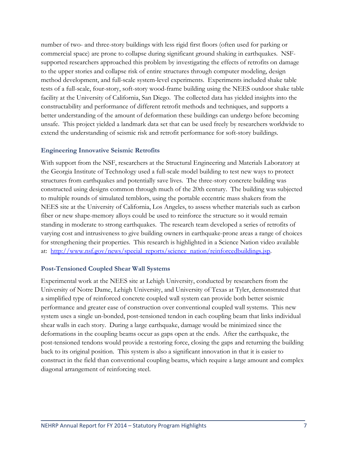number of two- and three-story buildings with less rigid first floors (often used for parking or commercial space) are prone to collapse during significant ground shaking in earthquakes. NSFsupported researchers approached this problem by investigating the effects of retrofits on damage to the upper stories and collapse risk of entire structures through computer modeling, design method development, and full-scale system-level experiments. Experiments included shake table tests of a full-scale, four-story, soft-story wood-frame building using the NEES outdoor shake table facility at the University of California, San Diego. The collected data has yielded insights into the constructability and performance of different retrofit methods and techniques, and supports a better understanding of the amount of deformation these buildings can undergo before becoming unsafe. This project yielded a landmark data set that can be used freely by researchers worldwide to extend the understanding of seismic risk and retrofit performance for soft-story buildings.

#### **Engineering Innovative Seismic Retrofits**

With support from the NSF, researchers at the Structural Engineering and Materials Laboratory at the Georgia Institute of Technology used a full-scale model building to test new ways to protect structures from earthquakes and potentially save lives. The three-story concrete building was constructed using designs common through much of the 20th century. The building was subjected to multiple rounds of simulated temblors, using the portable eccentric mass shakers from the NEES site at the University of California, Los Angeles, to assess whether materials such as carbon fiber or new shape-memory alloys could be used to reinforce the structure so it would remain standing in moderate to strong earthquakes. The research team developed a series of retrofits of varying cost and intrusiveness to give building owners in earthquake-prone areas a range of choices for strengthening their properties. This research is highlighted in a Science Nation video available at: [http://www.nsf.gov/news/special\\_reports/science\\_nation/reinforcedbuildings.jsp.](http://www.nsf.gov/news/special_reports/science_nation/reinforcedbuildings.jsp)

#### **Post-Tensioned Coupled Shear Wall Systems**

Experimental work at the NEES site at Lehigh University, conducted by researchers from the University of Notre Dame, Lehigh University, and University of Texas at Tyler, demonstrated that a simplified type of reinforced concrete coupled wall system can provide both better seismic performance and greater ease of construction over conventional coupled wall systems. This new system uses a single un-bonded, post-tensioned tendon in each coupling beam that links individual shear walls in each story. During a large earthquake, damage would be minimized since the deformations in the coupling beams occur as gaps open at the ends. After the earthquake, the post-tensioned tendons would provide a restoring force, closing the gaps and returning the building back to its original position. This system is also a significant innovation in that it is easier to construct in the field than conventional coupling beams, which require a large amount and complex diagonal arrangement of reinforcing steel.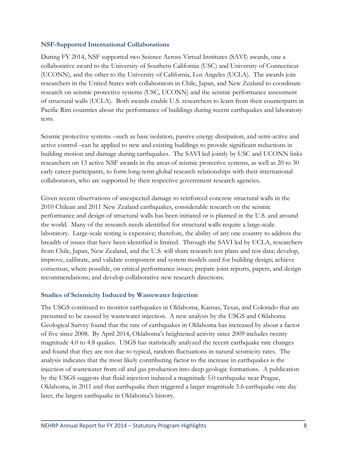#### **NSF-Supported International Collaborations**

During FY 2014, NSF supported two Science Across Virtual Institutes (SAVI) awards, one a collaborative award to the University of Southern California (USC) and University of Connecticut (UCONN), and the other to the University of California, Los Angeles (UCLA). The awards join researchers in the United States with collaborators in Chile, Japan, and New Zealand to coordinate research on seismic protective systems (USC, UCONN) and the seismic performance assessment of structural walls (UCLA). Both awards enable U.S. researchers to learn from their counterparts in Pacific Rim countries about the performance of buildings during recent earthquakes and laboratory tests.

Seismic protective systems –such as base isolation, passive energy dissipation, and semi-active and active control –can be applied to new and existing buildings to provide significant reductions in building motion and damage during earthquakes. The SAVI led jointly by USC and UCONN links researchers on 13 active NSF awards in the areas of seismic protective systems, as well as 20 to 30 early career participants, to form long-term global research relationships with their international collaborators, who are supported by their respective government research agencies.

Given recent observations of unexpected damage to reinforced concrete structural walls in the 2010 Chilean and 2011 New Zealand earthquakes, considerable research on the seismic performance and design of structural walls has been initiated or is planned in the U.S. and around the world. Many of the research needs identified for structural walls require a large-scale laboratory. Large-scale testing is expensive; therefore, the ability of any one country to address the breadth of issues that have been identified is limited. Through the SAVI led by UCLA, researchers from Chile, Japan, New Zealand, and the U.S. will share research test plans and test data; develop, improve, calibrate, and validate component and system models used for building design; achieve consensus, where possible, on critical performance issues; prepare joint reports, papers, and design recommendations; and develop collaborative new research directions.

#### **Studies of Seismicity Induced by Wastewater Injection**

The USGS continued to monitor earthquakes in Oklahoma, Kansas, Texas, and Colorado that are presumed to be caused by wastewater injection. A new analysis by the USGS and Oklahoma Geological Survey found that the rate of earthquakes in Oklahoma has increased by about a factor of five since 2008. By April 2014, Oklahoma's heightened activity since 2009 includes twenty magnitude 4.0 to 4.8 quakes. USGS has statistically analyzed the recent earthquake rate changes and found that they are not due to typical, random fluctuations in natural seismicity rates. The analysis indicates that the most likely contributing factor to the increase in earthquakes is the injection of wastewater from oil and gas production into deep geologic formations. A publication by the USGS suggests that fluid injection induced a magnitude 5.0 earthquake near Prague, Oklahoma, in 2011 and that earthquake then triggered a larger magnitude 5.6 earthquake one day later, the largest earthquake in Oklahoma's history.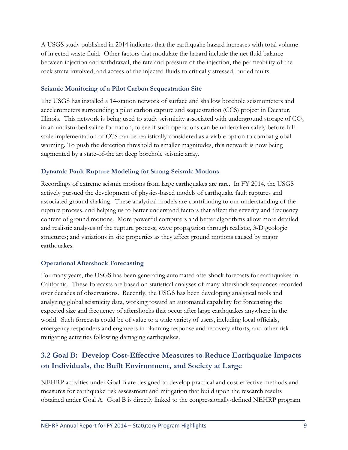A USGS study published in 2014 indicates that the earthquake hazard increases with total volume of injected waste fluid. Other factors that modulate the hazard include the net fluid balance between injection and withdrawal, the rate and pressure of the injection, the permeability of the rock strata involved, and access of the injected fluids to critically stressed, buried faults.

#### **Seismic Monitoring of a Pilot Carbon Sequestration Site**

The USGS has installed a 14-station network of surface and shallow borehole seismometers and accelerometers surrounding a pilot carbon capture and sequestration (CCS) project in Decatur, Illinois. This network is being used to study seismicity associated with underground storage of  $CO<sub>2</sub>$ in an undisturbed saline formation, to see if such operations can be undertaken safely before fullscale implementation of CCS can be realistically considered as a viable option to combat global warming. To push the detection threshold to smaller magnitudes, this network is now being augmented by a state-of-the art deep borehole seismic array.

#### **Dynamic Fault Rupture Modeling for Strong Seismic Motions**

Recordings of extreme seismic motions from large earthquakes are rare. In FY 2014, the USGS actively pursued the development of physics-based models of earthquake fault ruptures and associated ground shaking. These analytical models are contributing to our understanding of the rupture process, and helping us to better understand factors that affect the severity and frequency content of ground motions. More powerful computers and better algorithms allow more detailed and realistic analyses of the rupture process; wave propagation through realistic, 3-D geologic structures; and variations in site properties as they affect ground motions caused by major earthquakes.

#### **Operational Aftershock Forecasting**

For many years, the USGS has been generating automated aftershock forecasts for earthquakes in California. These forecasts are based on statistical analyses of many aftershock sequences recorded over decades of observations. Recently, the USGS has been developing analytical tools and analyzing global seismicity data, working toward an automated capability for forecasting the expected size and frequency of aftershocks that occur after large earthquakes anywhere in the world. Such forecasts could be of value to a wide variety of users, including local officials, emergency responders and engineers in planning response and recovery efforts, and other riskmitigating activities following damaging earthquakes.

## <span id="page-15-0"></span>**3.2 Goal B: Develop Cost-Effective Measures to Reduce Earthquake Impacts on Individuals, the Built Environment, and Society at Large**

NEHRP activities under Goal B are designed to develop practical and cost-effective methods and measures for earthquake risk assessment and mitigation that build upon the research results obtained under Goal A. Goal B is directly linked to the congressionally-defined NEHRP program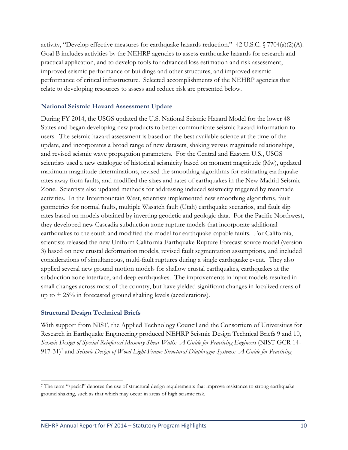activity, "Develop effective measures for earthquake hazards reduction." 42 U.S.C.  $\sqrt{7704(a)(2)(A)}$ . Goal B includes activities by the NEHRP agencies to assess earthquake hazards for research and practical application, and to develop tools for advanced loss estimation and risk assessment, improved seismic performance of buildings and other structures, and improved seismic performance of critical infrastructure. Selected accomplishments of the NEHRP agencies that relate to developing resources to assess and reduce risk are presented below.

#### **National Seismic Hazard Assessment Update**

During FY 2014, the USGS updated the U.S. National Seismic Hazard Model for the lower 48 States and began developing new products to better communicate seismic hazard information to users. The seismic hazard assessment is based on the best available science at the time of the update, and incorporates a broad range of new datasets, shaking versus magnitude relationships, and revised seismic wave propagation parameters. For the Central and Eastern U.S., USGS scientists used a new catalogue of historical seismicity based on moment magnitude (Mw), updated maximum magnitude determinations, revised the smoothing algorithms for estimating earthquake rates away from faults, and modified the sizes and rates of earthquakes in the New Madrid Seismic Zone. Scientists also updated methods for addressing induced seismicity triggered by manmade activities. In the Intermountain West, scientists implemented new smoothing algorithms, fault geometries for normal faults, multiple Wasatch fault (Utah) earthquake scenarios, and fault slip rates based on models obtained by inverting geodetic and geologic data. For the Pacific Northwest, they developed new Cascadia subduction zone rupture models that incorporate additional earthquakes to the south and modified the model for earthquake-capable faults. For California, scientists released the new Uniform California Earthquake Rupture Forecast source model (version 3) based on new crustal deformation models, revised fault segmentation assumptions, and included considerations of simultaneous, multi-fault ruptures during a single earthquake event. They also applied several new ground motion models for shallow crustal earthquakes, earthquakes at the subduction zone interface, and deep earthquakes. The improvements in input models resulted in small changes across most of the country, but have yielded significant changes in localized areas of up to  $\pm$  25% in forecasted ground shaking levels (accelerations).

#### **Structural Design Technical Briefs**

 $\overline{a}$ 

With support from NIST, the Applied Technology Council and the Consortium of Universities for Research in Earthquake Engineering produced NEHRP Seismic Design Technical Briefs 9 and 10, *Seismic Design of Special Reinforced Masonry Shear Walls: A Guide for Practicing Engineers* (NIST GCR 14- 91[7](#page-16-0)-31)<sup>7</sup> and *Seismic Design of Wood Light-Frame Structural Diaphragm Systems: A Guide for Practicing* 

<span id="page-16-0"></span><sup>7</sup> The term "special" denotes the use of structural design requirements that improve resistance to strong earthquake ground shaking, such as that which may occur in areas of high seismic risk.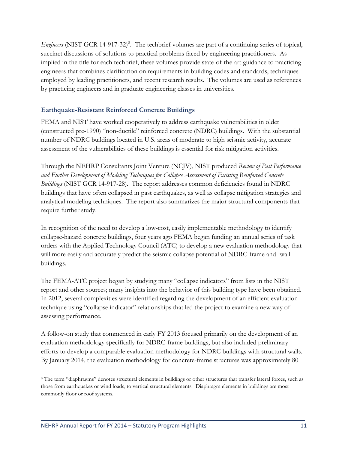Engineers (NIST GCR 14-917-32)<sup>[8](#page-17-0)</sup>. The techbrief volumes are part of a continuing series of topical, succinct discussions of solutions to practical problems faced by engineering practitioners. As implied in the title for each techbrief, these volumes provide state-of-the-art guidance to practicing engineers that combines clarification on requirements in building codes and standards, techniques employed by leading practitioners, and recent research results. The volumes are used as references by practicing engineers and in graduate engineering classes in universities.

#### **Earthquake-Resistant Reinforced Concrete Buildings**

FEMA and NIST have worked cooperatively to address earthquake vulnerabilities in older (constructed pre-1990) "non-ductile" reinforced concrete (NDRC) buildings. With the substantial number of NDRC buildings located in U.S. areas of moderate to high seismic activity, accurate assessment of the vulnerabilities of these buildings is essential for risk mitigation activities.

Through the NEHRP Consultants Joint Venture (NCJV), NIST produced *Review of Past Performance and Further Development of Modeling Techniques for Collapse Assessment of Existing Reinforced Concrete Buildings* (NIST GCR 14-917-28). The report addresses common deficiencies found in NDRC buildings that have often collapsed in past earthquakes, as well as collapse mitigation strategies and analytical modeling techniques. The report also summarizes the major structural components that require further study.

In recognition of the need to develop a low-cost, easily implementable methodology to identify collapse-hazard concrete buildings, four years ago FEMA began funding an annual series of task orders with the Applied Technology Council (ATC) to develop a new evaluation methodology that will more easily and accurately predict the seismic collapse potential of NDRC-frame and -wall buildings.

The FEMA-ATC project began by studying many "collapse indicators" from lists in the NIST report and other sources; many insights into the behavior of this building type have been obtained. In 2012, several complexities were identified regarding the development of an efficient evaluation technique using "collapse indicator" relationships that led the project to examine a new way of assessing performance.

A follow-on study that commenced in early FY 2013 focused primarily on the development of an evaluation methodology specifically for NDRC-frame buildings, but also included preliminary efforts to develop a comparable evaluation methodology for NDRC buildings with structural walls. By January 2014, the evaluation methodology for concrete-frame structures was approximately 80

<span id="page-17-0"></span> $\overline{a}$ <sup>8</sup> The term "diaphragms" denotes structural elements in buildings or other structures that transfer lateral forces, such as those from earthquakes or wind loads, to vertical structural elements. Diaphragm elements in buildings are most commonly floor or roof systems.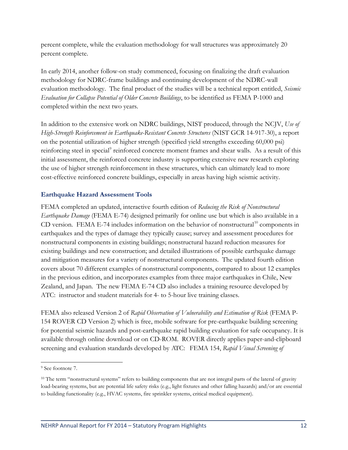percent complete, while the evaluation methodology for wall structures was approximately 20 percent complete.

In early 2014, another follow-on study commenced, focusing on finalizing the draft evaluation methodology for NDRC-frame buildings and continuing development of the NDRC-wall evaluation methodology. The final product of the studies will be a technical report entitled, *Seismic Evaluation for Collapse Potential of Older Concrete Buildings*, to be identified as FEMA P-1000 and completed within the next two years.

In addition to the extensive work on NDRC buildings, NIST produced, through the NCJV, *Use of High-Strength Reinforcement in Earthquake-Resistant Concrete Structures* (NIST GCR 14-917-30), a report on the potential utilization of higher strength (specified yield strengths exceeding 60,000 psi) reinforcing steel in special<sup>[9](#page-18-0)</sup> reinforced concrete moment frames and shear walls. As a result of this initial assessment, the reinforced concrete industry is supporting extensive new research exploring the use of higher strength reinforcement in these structures, which can ultimately lead to more cost-effective reinforced concrete buildings, especially in areas having high seismic activity.

#### **Earthquake Hazard Assessment Tools**

FEMA completed an updated, interactive fourth edition of *Reducing the Risk of Nonstructural Earthquake Damage* (FEMA E-74) designed primarily for online use but which is also available in a CD version. FEMA E-74 includes information on the behavior of nonstructural<sup>[10](#page-18-1)</sup> components in earthquakes and the types of damage they typically cause; survey and assessment procedures for nonstructural components in existing buildings; nonstructural hazard reduction measures for existing buildings and new construction; and detailed illustrations of possible earthquake damage and mitigation measures for a variety of nonstructural components. The updated fourth edition covers about 70 different examples of nonstructural components, compared to about 12 examples in the previous edition, and incorporates examples from three major earthquakes in Chile, New Zealand, and Japan. The new FEMA E-74 CD also includes a training resource developed by ATC: instructor and student materials for 4- to 5-hour live training classes.

FEMA also released Version 2 of *Rapid Observation of Vulnerability and Estimation of Risk* (FEMA P-154 ROVER CD Version 2) which is free, mobile software for pre-earthquake building screening for potential seismic hazards and post-earthquake rapid building evaluation for safe occupancy. It is available through online download or on CD-ROM. ROVER directly applies paper-and-clipboard screening and evaluation standards developed by ATC: FEMA 154, *Rapid Visual Screening of* 

 $\overline{a}$ 

<span id="page-18-0"></span><sup>9</sup> See footnote 7.

<span id="page-18-1"></span><sup>&</sup>lt;sup>10</sup> The term "nonstructural systems" refers to building components that are not integral parts of the lateral of gravity load-bearing systems, but are potential life safety risks (e.g., light fixtures and other falling hazards) and/or are essential to building functionality (e.g., HVAC systems, fire sprinkler systems, critical medical equipment).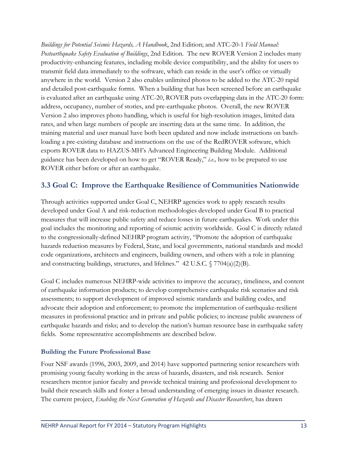*Buildings for Potential Seismic Hazards, A Handbook*, 2nd Edition; and ATC-20-1 *Field Manual: Postearthquake Safety Evaluation of Buildings*, 2nd Edition*.* The new ROVER Version 2 includes many productivity-enhancing features, including mobile device compatibility, and the ability for users to transmit field data immediately to the software, which can reside in the user's office or virtually anywhere in the world. Version 2 also enables unlimited photos to be added to the ATC-20 rapid and detailed post-earthquake forms. When a building that has been screened before an earthquake is evaluated after an earthquake using ATC-20, ROVER puts overlapping data in the ATC-20 form: address, occupancy, number of stories, and pre-earthquake photos. Overall, the new ROVER Version 2 also improves photo handling, which is useful for high-resolution images, limited data rates, and when large numbers of people are inserting data at the same time. In addition, the training material and user manual have both been updated and now include instructions on batchloading a pre-existing database and instructions on the use of the RedROVER software, which exports ROVER data to HAZUS-MH's Advanced Engineering Building Module. Additional guidance has been developed on how to get "ROVER Ready," *i.e.,* how to be prepared to use ROVER either before or after an earthquake.

### <span id="page-19-0"></span>**3.3 Goal C: Improve the Earthquake Resilience of Communities Nationwide**

Through activities supported under Goal C, NEHRP agencies work to apply research results developed under Goal A and risk-reduction methodologies developed under Goal B to practical measures that will increase public safety and reduce losses in future earthquakes. Work under this goal includes the monitoring and reporting of seismic activity worldwide. Goal C is directly related to the congressionally-defined NEHRP program activity, "Promote the adoption of earthquake hazards reduction measures by Federal, State, and local governments, national standards and model code organizations, architects and engineers, building owners, and others with a role in planning and constructing buildings, structures, and lifelines." 42 U.S.C. § 7704(a)(2)(B).

Goal C includes numerous NEHRP-wide activities to improve the accuracy, timeliness, and content of earthquake information products; to develop comprehensive earthquake risk scenarios and risk assessments; to support development of improved seismic standards and building codes, and advocate their adoption and enforcement; to promote the implementation of earthquake-resilient measures in professional practice and in private and public policies; to increase public awareness of earthquake hazards and risks; and to develop the nation's human resource base in earthquake safety fields. Some representative accomplishments are described below.

#### **Building the Future Professional Base**

Four NSF awards (1996, 2003, 2009, and 2014) have supported partnering senior researchers with promising young faculty working in the areas of hazards, disasters, and risk research. Senior researchers mentor junior faculty and provide technical training and professional development to build their research skills and foster a broad understanding of emerging issues in disaster research. The current project, *Enabling the Next Generation of Hazards and Disaster Researchers*, has drawn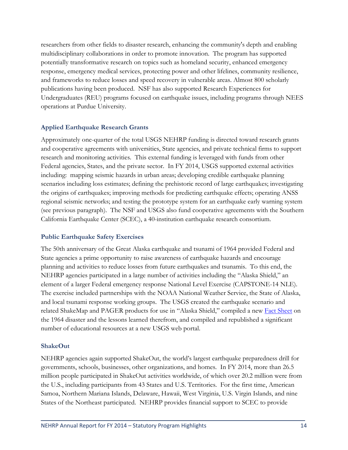researchers from other fields to disaster research, enhancing the community's depth and enabling multidisciplinary collaborations in order to promote innovation. The program has supported potentially transformative research on topics such as homeland security, enhanced emergency response, emergency medical services, protecting power and other lifelines, community resilience, and frameworks to reduce losses and speed recovery in vulnerable areas. Almost 800 scholarly publications having been produced. NSF has also supported Research Experiences for Undergraduates (REU) programs focused on earthquake issues, including programs through NEES operations at Purdue University.

#### **Applied Earthquake Research Grants**

Approximately one-quarter of the total USGS NEHRP funding is directed toward research grants and cooperative agreements with universities, State agencies, and private technical firms to support research and monitoring activities. This external funding is leveraged with funds from other Federal agencies, States, and the private sector. In FY 2014, USGS supported external activities including: mapping seismic hazards in urban areas; developing credible earthquake planning scenarios including loss estimates; defining the prehistoric record of large earthquakes; investigating the origins of earthquakes; improving methods for predicting earthquake effects; operating ANSS regional seismic networks; and testing the prototype system for an earthquake early warning system (see previous paragraph). The NSF and USGS also fund cooperative agreements with the Southern California Earthquake Center (SCEC), a 40-institution earthquake research consortium.

#### **Public Earthquake Safety Exercises**

The 50th anniversary of the Great Alaska earthquake and tsunami of 1964 provided Federal and State agencies a prime opportunity to raise awareness of earthquake hazards and encourage planning and activities to reduce losses from future earthquakes and tsunamis. To this end, the NEHRP agencies participated in a large number of activities including the "Alaska Shield," an element of a larger Federal emergency response National Level Exercise (CAPSTONE-14 NLE). The exercise included partnerships with the NOAA National Weather Service, the State of Alaska, and local tsunami response working groups. The USGS created the earthquake scenario and related ShakeMap and PAGER products for use in "Alaska Shield," compiled a new [Fact Sheet](http://pubs.usgs.gov/fs/2014/3018/) on the 1964 disaster and the lessons learned therefrom, and compiled and republished a significant number of educational resources at a new USGS web portal.

#### **ShakeOut**

NEHRP agencies again supported ShakeOut, the world's largest earthquake preparedness drill for governments, schools, businesses, other organizations, and homes. In FY 2014, more than 26.5 million people participated in ShakeOut activities worldwide, of which over 20.2 million were from the U.S., including participants from 43 States and U.S. Territories. For the first time, American Samoa, Northern Mariana Islands, Delaware, Hawaii, West Virginia, U.S. Virgin Islands, and nine States of the Northeast participated. NEHRP provides financial support to SCEC to provide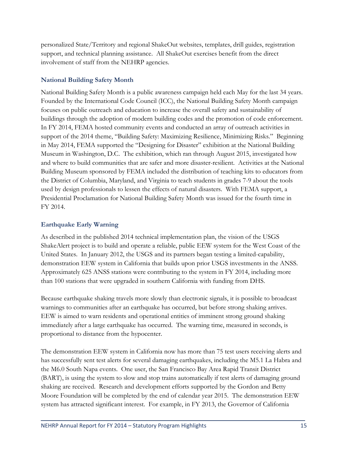personalized State/Territory and regional ShakeOut websites, templates, drill guides, registration support, and technical planning assistance. All ShakeOut exercises benefit from the direct involvement of staff from the NEHRP agencies.

#### **National Building Safety Month**

National Building Safety Month is a public awareness campaign held each May for the last 34 years. Founded by the International Code Council (ICC), the National Building Safety Month campaign focuses on public outreach and education to increase the overall safety and sustainability of buildings through the adoption of modern building codes and the promotion of code enforcement. In FY 2014, FEMA hosted community events and conducted an array of outreach activities in support of the 2014 theme, "Building Safety: Maximizing Resilience, Minimizing Risks." Beginning in May 2014, FEMA supported the "Designing for Disaster" exhibition at the National Building Museum in Washington, D.C. The exhibition, which ran through August 2015, investigated how and where to build communities that are safer and more disaster-resilient. Activities at the National Building Museum sponsored by FEMA included the distribution of teaching kits to educators from the District of Columbia, Maryland, and Virginia to teach students in grades 7-9 about the tools used by design professionals to lessen the effects of natural disasters. With FEMA support, a Presidential Proclamation for National Building Safety Month was issued for the fourth time in FY 2014.

#### **Earthquake Early Warning**

As described in the published 2014 technical implementation plan, the vision of the USGS ShakeAlert project is to build and operate a reliable, public EEW system for the West Coast of the United States. In January 2012, the USGS and its partners began testing a limited-capability, demonstration EEW system in California that builds upon prior USGS investments in the ANSS. Approximately 625 ANSS stations were contributing to the system in FY 2014, including more than 100 stations that were upgraded in southern California with funding from DHS.

Because earthquake shaking travels more slowly than electronic signals, it is possible to broadcast warnings to communities after an earthquake has occurred, but before strong shaking arrives. EEW is aimed to warn residents and operational entities of imminent strong ground shaking immediately after a large earthquake has occurred. The warning time, measured in seconds, is proportional to distance from the hypocenter.

The demonstration EEW system in California now has more than 75 test users receiving alerts and has successfully sent test alerts for several damaging earthquakes, including the M5.1 La Habra and the M6.0 South Napa events. One user, the San Francisco Bay Area Rapid Transit District (BART), is using the system to slow and stop trains automatically if test alerts of damaging ground shaking are received. Research and development efforts supported by the Gordon and Betty Moore Foundation will be completed by the end of calendar year 2015. The demonstration EEW system has attracted significant interest. For example, in FY 2013, the Governor of California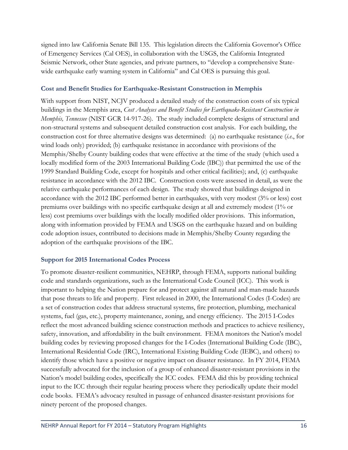signed into law California Senate Bill 135. This legislation directs the California Governor's Office of Emergency Services (Cal OES), in collaboration with the USGS, the California Integrated Seismic Network, other State agencies, and private partners, to "develop a comprehensive Statewide earthquake early warning system in California" and Cal OES is pursuing this goal.

#### **Cost and Benefit Studies for Earthquake-Resistant Construction in Memphis**

With support from NIST, NCJV produced a detailed study of the construction costs of six typical buildings in the Memphis area, *Cost Analyses and Benefit Studies for Earthquake-Resistant Construction in Memphis, Tennessee* (NIST GCR 14-917-26). The study included complete designs of structural and non-structural systems and subsequent detailed construction cost analysis. For each building, the construction cost for three alternative designs was determined: (a) no earthquake resistance (*i.e*., for wind loads only) provided; (b) earthquake resistance in accordance with provisions of the Memphis/Shelby County building codes that were effective at the time of the study (which used a locally modified form of the 2003 International Building Code (IBC)) that permitted the use of the 1999 Standard Building Code, except for hospitals and other critical facilities); and, (c) earthquake resistance in accordance with the 2012 IBC. Construction costs were assessed in detail, as were the relative earthquake performances of each design. The study showed that buildings designed in accordance with the 2012 IBC performed better in earthquakes, with very modest (3% or less) cost premiums over buildings with no specific earthquake design at all and extremely modest (1% or less) cost premiums over buildings with the locally modified older provisions. This information, along with information provided by FEMA and USGS on the earthquake hazard and on building code adoption issues, contributed to decisions made in Memphis/Shelby County regarding the adoption of the earthquake provisions of the IBC.

#### **Support for 2015 International Codes Process**

To promote disaster-resilient communities, NEHRP, through FEMA, supports national building code and standards organizations, such as the International Code Council (ICC). This work is important to helping the Nation prepare for and protect against all natural and man-made hazards that pose threats to life and property. First released in 2000, the International Codes (I-Codes) are a set of construction codes that address structural systems, fire protection, plumbing, mechanical systems, fuel (gas, etc.), property maintenance, zoning, and energy efficiency. The 2015 I-Codes reflect the most advanced building science construction methods and practices to achieve resiliency, safety, innovation, and affordability in the built environment. FEMA monitors the Nation's model building codes by reviewing proposed changes for the I-Codes (International Building Code (IBC), International Residential Code (IRC), International Existing Building Code (IEBC), and others) to identify those which have a positive or negative impact on disaster resistance. In FY 2014, FEMA successfully advocated for the inclusion of a group of enhanced disaster-resistant provisions in the Nation's model building codes, specifically the ICC codes. FEMA did this by providing technical input to the ICC through their regular hearing process where they periodically update their model code books. FEMA's advocacy resulted in passage of enhanced disaster-resistant provisions for ninety percent of the proposed changes.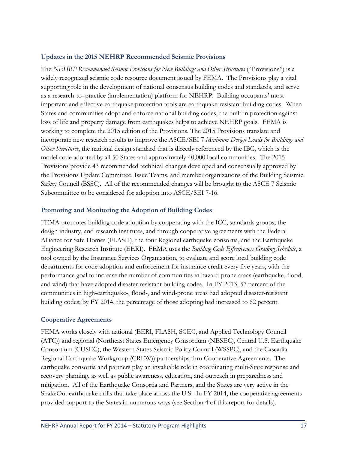#### **Updates in the 2015 NEHRP Recommended Seismic Provisions**

The *NEHRP Recommended Seismic Provisions for New Buildings and Other Structures* ("Provisions") is a widely recognized seismic code resource document issued by FEMA. The Provisions play a vital supporting role in the development of national consensus building codes and standards, and serve as a research-to–practice (implementation) platform for NEHRP. Building occupants' most important and effective earthquake protection tools are earthquake-resistant building codes. When States and communities adopt and enforce national building codes, the built-in protection against loss of life and property damage from earthquakes helps to achieve NEHRP goals. FEMA is working to complete the 2015 edition of the Provisions. The 2015 Provisions translate and incorporate new research results to improve the ASCE/SEI 7 *Minimum Design Loads for Buildings and Other Structures*, the national design standard that is directly referenced by the IBC, which is the model code adopted by all 50 States and approximately 40,000 local communities. The 2015 Provisions provide 43 recommended technical changes developed and consensually approved by the Provisions Update Committee, Issue Teams, and member organizations of the Building Seismic Safety Council (BSSC). All of the recommended changes will be brought to the ASCE 7 Seismic Subcommittee to be considered for adoption into ASCE/SEI 7-16.

#### **Promoting and Monitoring the Adoption of Building Codes**

FEMA promotes building code adoption by cooperating with the ICC, standards groups, the design industry, and research institutes, and through cooperative agreements with the Federal Alliance for Safe Homes (FLASH), the four Regional earthquake consortia, and the Earthquake Engineering Research Institute (EERI). FEMA uses the *Building Code Effectiveness Grading Schedule*, a tool owned by the Insurance Services Organization, to evaluate and score local building code departments for code adoption and enforcement for insurance credit every five years, with the performance goal to increase the number of communities in hazard-prone areas (earthquake, flood, and wind) that have adopted disaster-resistant building codes. In FY 2013, 57 percent of the communities in high-earthquake-, flood-, and wind-prone areas had adopted disaster-resistant building codes; by FY 2014, the percentage of those adopting had increased to 62 percent.

#### **Cooperative Agreements**

FEMA works closely with national (EERI, FLASH, SCEC, and Applied Technology Council (ATC)) and regional (Northeast States Emergency Consortium (NESEC), Central U.S. Earthquake Consortium (CUSEC), the Western States Seismic Policy Council (WSSPC), and the Cascadia Regional Earthquake Workgroup (CREW)) partnerships thru Cooperative Agreements. The earthquake consortia and partners play an invaluable role in coordinating multi-State response and recovery planning, as well as public awareness, education, and outreach in preparedness and mitigation. All of the Earthquake Consortia and Partners, and the States are very active in the ShakeOut earthquake drills that take place across the U.S. In FY 2014, the cooperative agreements provided support to the States in numerous ways (see Section 4 of this report for details).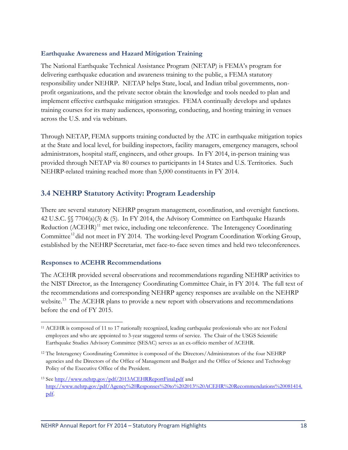#### **Earthquake Awareness and Hazard Mitigation Training**

The National Earthquake Technical Assistance Program (NETAP) is FEMA's program for delivering earthquake education and awareness training to the public, a FEMA statutory responsibility under NEHRP. NETAP helps State, local, and Indian tribal governments, nonprofit organizations, and the private sector obtain the knowledge and tools needed to plan and implement effective earthquake mitigation strategies. FEMA continually develops and updates training courses for its many audiences, sponsoring, conducting, and hosting training in venues across the U.S. and via webinars.

Through NETAP, FEMA supports training conducted by the ATC in earthquake mitigation topics at the State and local level, for building inspectors, facility managers, emergency managers, school administrators, hospital staff, engineers, and other groups. In FY 2014, in-person training was provided through NETAP via 80 courses to participants in 14 States and U.S. Territories. Such NEHRP-related training reached more than 5,000 constituents in FY 2014.

### <span id="page-24-0"></span>**3.4 NEHRP Statutory Activity: Program Leadership**

There are several statutory NEHRP program management, coordination, and oversight functions. 42 U.S.C. §§ 7704(a)(3) & (5). In FY 2014, the Advisory Committee on Earthquake Hazards Reduction (ACEHR)<sup>[11](#page-24-1)</sup> met twice, including one teleconference. The Interagency Coordinating Committee<sup>[12](#page-24-2)</sup> did not meet in FY 2014. The working-level Program Coordination Working Group, established by the NEHRP Secretariat, met face-to-face seven times and held two teleconferences.

#### **Responses to ACEHR Recommendations**

The ACEHR provided several observations and recommendations regarding NEHRP activities to the NIST Director, as the Interagency Coordinating Committee Chair, in FY 2014. The full text of the recommendations and corresponding NEHRP agency responses are available on the NEHRP website.<sup>[13](#page-24-3)</sup> The ACEHR plans to provide a new report with observations and recommendations before the end of FY 2015.

<span id="page-24-1"></span> $\overline{a}$ <sup>11</sup> ACEHR is composed of 11 to 17 nationally recognized, leading earthquake professionals who are not Federal employees and who are appointed to 3-year staggered terms of service. The Chair of the USGS Scientific Earthquake Studies Advisory Committee (SESAC) serves as an ex-officio member of ACEHR.

<span id="page-24-2"></span><sup>&</sup>lt;sup>12</sup> The Interagency Coordinating Committee is composed of the Directors/Administrators of the four NEHRP agencies and the Directors of the Office of Management and Budget and the Office of Science and Technology Policy of the Executive Office of the President.

<span id="page-24-3"></span><sup>&</sup>lt;sup>13</sup> See<http://www.nehrp.gov/pdf/2013ACEHRReportFinal.pdf> and [http://www.nehrp.gov/pdf/Agency%20Responses%20to%202013%20ACEHR%20Recommendations%20081414.](http://www.nehrp.gov/pdf/Agency%20Responses%20to%202013%20ACEHR%20Recommendations%20081414.pdf) [pdf.](http://www.nehrp.gov/pdf/Agency%20Responses%20to%202013%20ACEHR%20Recommendations%20081414.pdf)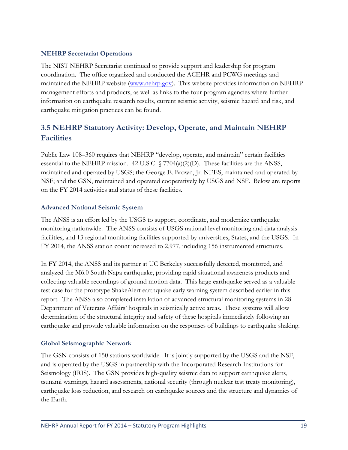#### **NEHRP Secretariat Operations**

The NIST NEHRP Secretariat continued to provide support and leadership for program coordination. The office organized and conducted the ACEHR and PCWG meetings and maintained the NEHRP website [\(www.nehrp.gov\)](http://www.nehrp.gov/). This website provides information on NEHRP management efforts and products, as well as links to the four program agencies where further information on earthquake research results, current seismic activity, seismic hazard and risk, and earthquake mitigation practices can be found.

# <span id="page-25-0"></span>**3.5 NEHRP Statutory Activity: Develop, Operate, and Maintain NEHRP Facilities**

Public Law 108–360 requires that NEHRP "develop, operate, and maintain" certain facilities essential to the NEHRP mission. 42 U.S.C. § 7704(a)(2)(D). These facilities are the ANSS, maintained and operated by USGS; the George E. Brown, Jr. NEES, maintained and operated by NSF; and the GSN, maintained and operated cooperatively by USGS and NSF. Below are reports on the FY 2014 activities and status of these facilities.

#### **Advanced National Seismic System**

The ANSS is an effort led by the USGS to support, coordinate, and modernize earthquake monitoring nationwide. The ANSS consists of USGS national-level monitoring and data analysis facilities, and 13 regional monitoring facilities supported by universities, States, and the USGS. In FY 2014, the ANSS station count increased to 2,977, including 156 instrumented structures.

In FY 2014, the ANSS and its partner at UC Berkeley successfully detected, monitored, and analyzed the M6.0 South Napa earthquake, providing rapid situational awareness products and collecting valuable recordings of ground motion data. This large earthquake served as a valuable test case for the prototype ShakeAlert earthquake early warning system described earlier in this report. The ANSS also completed installation of advanced structural monitoring systems in 28 Department of Veterans Affairs' hospitals in seismically active areas. These systems will allow determination of the structural integrity and safety of these hospitals immediately following an earthquake and provide valuable information on the responses of buildings to earthquake shaking.

#### **Global Seismographic Network**

The GSN consists of 150 stations worldwide. It is jointly supported by the USGS and the NSF, and is operated by the USGS in partnership with the Incorporated Research Institutions for Seismology (IRIS). The GSN provides high-quality seismic data to support earthquake alerts, tsunami warnings, hazard assessments, national security (through nuclear test treaty monitoring), earthquake loss reduction, and research on earthquake sources and the structure and dynamics of the Earth.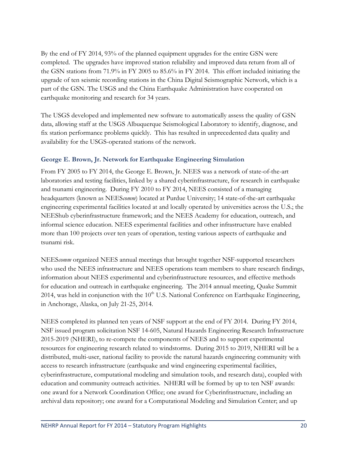By the end of FY 2014, 93% of the planned equipment upgrades for the entire GSN were completed. The upgrades have improved station reliability and improved data return from all of the GSN stations from 71.9% in FY 2005 to 85.6% in FY 2014. This effort included initiating the upgrade of ten seismic recording stations in the China Digital Seismographic Network, which is a part of the GSN. The USGS and the China Earthquake Administration have cooperated on earthquake monitoring and research for 34 years.

The USGS developed and implemented new software to automatically assess the quality of GSN data, allowing staff at the USGS Albuquerque Seismological Laboratory to identify, diagnose, and fix station performance problems quickly. This has resulted in unprecedented data quality and availability for the USGS-operated stations of the network.

#### **George E. Brown, Jr. Network for Earthquake Engineering Simulation**

From FY 2005 to FY 2014, the George E. Brown, Jr. NEES was a network of state-of-the-art laboratories and testing facilities, linked by a shared cyberinfrastructure, for research in earthquake and tsunami engineering. During FY 2010 to FY 2014, NEES consisted of a managing headquarters (known as NEES*comm*) located at Purdue University; 14 state-of-the-art earthquake engineering experimental facilities located at and locally operated by universities across the U.S.; the NEEShub cyberinfrastructure framework; and the NEES Academy for education, outreach, and informal science education. NEES experimental facilities and other infrastructure have enabled more than 100 projects over ten years of operation, testing various aspects of earthquake and tsunami risk.

NEES*comm* organized NEES annual meetings that brought together NSF-supported researchers who used the NEES infrastructure and NEES operations team members to share research findings, information about NEES experimental and cyberinfrastructure resources, and effective methods for education and outreach in earthquake engineering. The 2014 annual meeting, Quake Summit 2014, was held in conjunction with the  $10<sup>th</sup>$  U.S. National Conference on Earthquake Engineering, in Anchorage, Alaska, on July 21-25, 2014.

NEES completed its planned ten years of NSF support at the end of FY 2014. During FY 2014, NSF issued program solicitation NSF 14-605, Natural Hazards Engineering Research Infrastructure 2015-2019 (NHERI), to re-compete the components of NEES and to support experimental resources for engineering research related to windstorms. During 2015 to 2019, NHERI will be a distributed, multi-user, national facility to provide the natural hazards engineering community with access to research infrastructure (earthquake and wind engineering experimental facilities, cyberinfrastructure, computational modeling and simulation tools, and research data), coupled with education and community outreach activities. NHERI will be formed by up to ten NSF awards: one award for a Network Coordination Office; one award for Cyberinfrastructure, including an archival data repository; one award for a Computational Modeling and Simulation Center; and up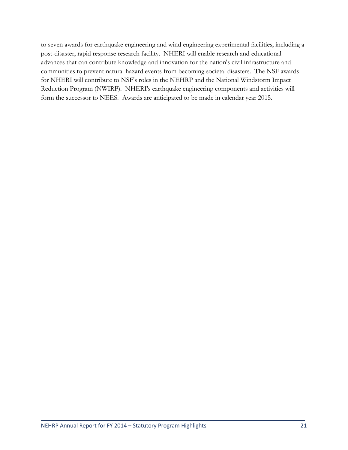to seven awards for earthquake engineering and wind engineering experimental facilities, including a post-disaster, rapid response research facility. NHERI will enable research and educational advances that can contribute knowledge and innovation for the nation's civil infrastructure and communities to prevent natural hazard events from becoming societal disasters. The NSF awards for NHERI will contribute to NSF's roles in the NEHRP and the National Windstorm Impact Reduction Program (NWIRP). NHERI's earthquake engineering components and activities will form the successor to NEES. Awards are anticipated to be made in calendar year 2015.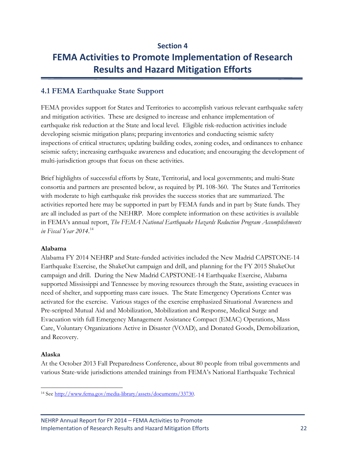# <span id="page-28-0"></span>**Section 4 FEMA Activities to Promote Implementation of Research Results and Hazard Mitigation Efforts**

### <span id="page-28-1"></span>**4.1 FEMA Earthquake State Support**

FEMA provides support for States and Territories to accomplish various relevant earthquake safety and mitigation activities. These are designed to increase and enhance implementation of earthquake risk reduction at the State and local level. Eligible risk-reduction activities include developing seismic mitigation plans; preparing inventories and conducting seismic safety inspections of critical structures; updating building codes, zoning codes, and ordinances to enhance seismic safety; increasing earthquake awareness and education; and encouraging the development of multi-jurisdiction groups that focus on these activities.

Brief highlights of successful efforts by State, Territorial, and local governments; and multi-State consortia and partners are presented below, as required by PL 108-360. The States and Territories with moderate to high earthquake risk provides the success stories that are summarized. The activities reported here may be supported in part by FEMA funds and in part by State funds. They are all included as part of the NEHRP. More complete information on these activities is available in FEMA's annual report, *The FEMA National Earthquake Hazards Reduction Program Accomplishments in Fiscal Year 2014*. [14](#page-28-2)

#### **Alabama**

Alabama FY 2014 NEHRP and State-funded activities included the New Madrid CAPSTONE-14 Earthquake Exercise, the ShakeOut campaign and drill, and planning for the FY 2015 ShakeOut campaign and drill. During the New Madrid CAPSTONE-14 Earthquake Exercise, Alabama supported Mississippi and Tennessee by moving resources through the State, assisting evacuees in need of shelter, and supporting mass care issues. The State Emergency Operations Center was activated for the exercise. Various stages of the exercise emphasized Situational Awareness and Pre-scripted Mutual Aid and Mobilization, Mobilization and Response, Medical Surge and Evacuation with full Emergency Management Assistance Compact (EMAC) Operations, Mass Care, Voluntary Organizations Active in Disaster (VOAD), and Donated Goods, Demobilization, and Recovery.

#### **Alaska**

At the October 2013 Fall Preparedness Conference, about 80 people from tribal governments and various State-wide jurisdictions attended trainings from FEMA's National Earthquake Technical

<span id="page-28-2"></span> $\overline{a}$ <sup>14</sup> See [http://www.fema.gov/media-library/assets/documents/33730.](http://www.fema.gov/media-library/assets/documents/33730)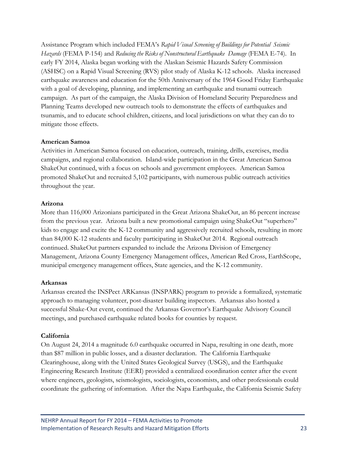Assistance Program which included FEMA's *Rapid Visual Screening of Buildings for Potential Seismic Hazards* (FEMA P-154) and *Reducing the Risks of Nonstructural Earthquake Damage* (FEMA E-74). In early FY 2014, Alaska began working with the Alaskan Seismic Hazards Safety Commission (ASHSC) on a Rapid Visual Screening (RVS) pilot study of Alaska K-12 schools. Alaska increased earthquake awareness and education for the 50th Anniversary of the 1964 Good Friday Earthquake with a goal of developing, planning, and implementing an earthquake and tsunami outreach campaign. As part of the campaign, the Alaska Division of Homeland Security Preparedness and Planning Teams developed new outreach tools to demonstrate the effects of earthquakes and tsunamis, and to educate school children, citizens, and local jurisdictions on what they can do to mitigate those effects.

#### **American Samoa**

Activities in American Samoa focused on education, outreach, training, drills, exercises, media campaigns, and regional collaboration. Island-wide participation in the Great American Samoa ShakeOut continued, with a focus on schools and government employees. American Samoa promoted ShakeOut and recruited 5,102 participants, with numerous public outreach activities throughout the year.

#### **Arizona**

More than 116,000 Arizonians participated in the Great Arizona ShakeOut, an 86 percent increase from the previous year. Arizona built a new promotional campaign using ShakeOut "superhero" kids to engage and excite the K-12 community and aggressively recruited schools, resulting in more than 84,000 K-12 students and faculty participating in ShakeOut 2014. Regional outreach continued. ShakeOut partners expanded to include the Arizona Division of Emergency Management, Arizona County Emergency Management offices, American Red Cross, EarthScope, municipal emergency management offices, State agencies, and the K-12 community.

#### **Arkansas**

Arkansas created the INSPect ARKansas (INSPARK) program to provide a formalized, systematic approach to managing volunteer, post-disaster building inspectors. Arkansas also hosted a successful Shake-Out event, continued the Arkansas Governor's Earthquake Advisory Council meetings, and purchased earthquake related books for counties by request.

#### **California**

On August 24, 2014 a magnitude 6.0 earthquake occurred in Napa, resulting in one death, more than \$87 million in public losses, and a disaster declaration. The California Earthquake Clearinghouse, along with the United States Geological Survey (USGS), and the Earthquake Engineering Research Institute (EERI) provided a centralized coordination center after the event where engineers, geologists, seismologists, sociologists, economists, and other professionals could coordinate the gathering of information. After the Napa Earthquake, the California Seismic Safety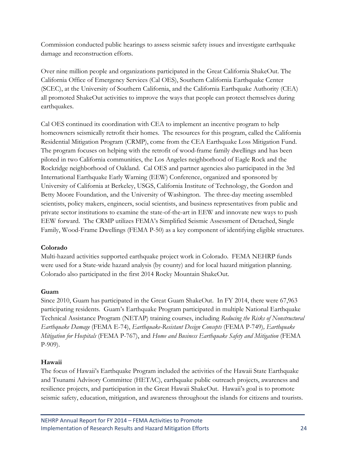Commission conducted public hearings to assess seismic safety issues and investigate earthquake damage and reconstruction efforts.

Over nine million people and organizations participated in the Great California ShakeOut. The California Office of Emergency Services (Cal OES), Southern California Earthquake Center (SCEC), at the University of Southern California, and the California Earthquake Authority (CEA) all promoted ShakeOut activities to improve the ways that people can protect themselves during earthquakes.

Cal OES continued its coordination with CEA to implement an incentive program to help homeowners seismically retrofit their homes. The resources for this program, called the California Residential Mitigation Program (CRMP), come from the CEA Earthquake Loss Mitigation Fund. The program focuses on helping with the retrofit of wood-frame family dwellings and has been piloted in two California communities, the Los Angeles neighborhood of Eagle Rock and the Rockridge neighborhood of Oakland. Cal OES and partner agencies also participated in the 3rd International Earthquake Early Warning (EEW) Conference, organized and sponsored by University of California at Berkeley, USGS, California Institute of Technology, the Gordon and Betty Moore Foundation, and the University of Washington. The three-day meeting assembled scientists, policy makers, engineers, social scientists, and business representatives from public and private sector institutions to examine the state-of-the-art in EEW and innovate new ways to push EEW forward. The CRMP utilizes FEMA's Simplified Seismic Assessment of Detached, Single Family, Wood-Frame Dwellings (FEMA P-50) as a key component of identifying eligible structures.

#### **Colorado**

Multi-hazard activities supported earthquake project work in Colorado. FEMA NEHRP funds were used for a State-wide hazard analysis (by county) and for local hazard mitigation planning. Colorado also participated in the first 2014 Rocky Mountain ShakeOut.

#### **Guam**

Since 2010, Guam has participated in the Great Guam ShakeOut. In FY 2014, there were 67,963 participating residents. Guam's Earthquake Program participated in multiple National Earthquake Technical Assistance Program (NETAP) training courses, including *Reducing the Risks of Nonstructural Earthquake Damage* (FEMA E-74), *Earthquake-Resistant Design Concepts* (FEMA P-749)*, Earthquake Mitigation for Hospitals* (FEMA P-767), and *Home and Business Earthquake Safety and Mitigation* (FEMA P-909).

#### **Hawaii**

The focus of Hawaii's Earthquake Program included the activities of the Hawaii State Earthquake and Tsunami Advisory Committee (HETAC), earthquake public outreach projects, awareness and resilience projects, and participation in the Great Hawaii ShakeOut. Hawaii's goal is to promote seismic safety, education, mitigation, and awareness throughout the islands for citizens and tourists.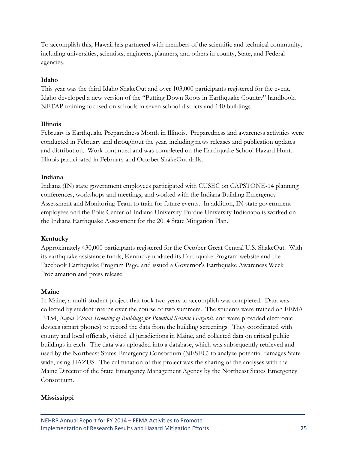To accomplish this, Hawaii has partnered with members of the scientific and technical community, including universities, scientists, engineers, planners, and others in county, State, and Federal agencies.

#### **Idaho**

This year was the third Idaho ShakeOut and over 103,000 participants registered for the event. Idaho developed a new version of the "Putting Down Roots in Earthquake Country" handbook. NETAP training focused on schools in seven school districts and 140 buildings.

#### **Illinois**

February is Earthquake Preparedness Month in Illinois. Preparedness and awareness activities were conducted in February and throughout the year, including news releases and publication updates and distribution. Work continued and was completed on the Earthquake School Hazard Hunt. Illinois participated in February and October ShakeOut drills.

#### **Indiana**

Indiana (IN) state government employees participated with CUSEC on CAPSTONE-14 planning conferences, workshops and meetings, and worked with the Indiana Building Emergency Assessment and Monitoring Team to train for future events. In addition, IN state government employees and the Polis Center of Indiana University-Purdue University Indianapolis worked on the Indiana Earthquake Assessment for the 2014 State Mitigation Plan.

#### **Kentucky**

Approximately 430,000 participants registered for the October Great Central U.S. ShakeOut. With its earthquake assistance funds, Kentucky updated its Earthquake Program website and the Facebook Earthquake Program Page, and issued a Governor's Earthquake Awareness Week Proclamation and press release.

#### **Maine**

In Maine, a multi-student project that took two years to accomplish was completed. Data was collected by student interns over the course of two summers. The students were trained on FEMA P-154, *Rapid Visual Screening of Buildings for Potential Seismic Hazards*, and were provided electronic devices (smart phones) to record the data from the building screenings. They coordinated with county and local officials, visited all jurisdictions in Maine, and collected data on critical public buildings in each. The data was uploaded into a database, which was subsequently retrieved and used by the Northeast States Emergency Consortium (NESEC) to analyze potential damages Statewide, using HAZUS. The culmination of this project was the sharing of the analyses with the Maine Director of the State Emergency Management Agency by the Northeast States Emergency Consortium.

#### **Mississippi**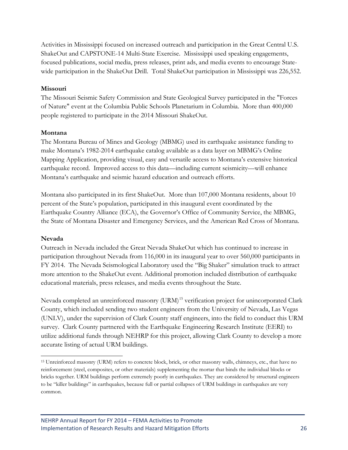Activities in Mississippi focused on increased outreach and participation in the Great Central U.S. ShakeOut and CAPSTONE-14 Multi-State Exercise. Mississippi used speaking engagements, focused publications, social media, press releases, print ads, and media events to encourage Statewide participation in the ShakeOut Drill. Total ShakeOut participation in Mississippi was 226,552.

#### **Missouri**

The Missouri Seismic Safety Commission and State Geological Survey participated in the "Forces of Nature" event at the Columbia Public Schools Planetarium in Columbia. More than 400,000 people registered to participate in the 2014 Missouri ShakeOut.

#### **Montana**

The Montana Bureau of Mines and Geology (MBMG) used its earthquake assistance funding to make Montana's 1982-2014 earthquake catalog available as a data layer on MBMG's Online Mapping Application, providing visual, easy and versatile access to Montana's extensive historical earthquake record. Improved access to this data—including current seismicity—will enhance Montana's earthquake and seismic hazard education and outreach efforts.

Montana also participated in its first ShakeOut. More than 107,000 Montana residents, about 10 percent of the State's population, participated in this inaugural event coordinated by the Earthquake Country Alliance (ECA), the Governor's Office of Community Service, the MBMG, the State of Montana Disaster and Emergency Services, and the American Red Cross of Montana.

#### **Nevada**

Outreach in Nevada included the Great Nevada ShakeOut which has continued to increase in participation throughout Nevada from 116,000 in its inaugural year to over 560,000 participants in FY 2014. The Nevada Seismological Laboratory used the "Big Shaker" simulation truck to attract more attention to the ShakeOut event. Additional promotion included distribution of earthquake educational materials, press releases, and media events throughout the State.

Nevada completed an unreinforced masonry (URM)<sup>15</sup> verification project for unincorporated Clark County, which included sending two student engineers from the University of Nevada, Las Vegas (UNLV), under the supervision of Clark County staff engineers, into the field to conduct this URM survey. Clark County partnered with the Earthquake Engineering Research Institute (EERI) to utilize additional funds through NEHRP for this project, allowing Clark County to develop a more accurate listing of actual URM buildings.

<span id="page-32-0"></span> $\overline{a}$ <sup>15</sup> Unreinforced masonry (URM) refers to concrete block, brick, or other masonry walls, chimneys, etc., that have no reinforcement (steel, composites, or other materials) supplementing the mortar that binds the individual blocks or bricks together. URM buildings perform extremely poorly in earthquakes. They are considered by structural engineers to be "killer buildings" in earthquakes, because full or partial collapses of URM buildings in earthquakes are very common.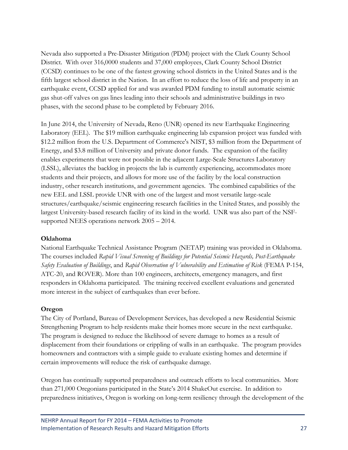Nevada also supported a Pre-Disaster Mitigation (PDM) project with the Clark County School District. With over 316,0000 students and 37,000 employees, Clark County School District (CCSD) continues to be one of the fastest growing school districts in the United States and is the fifth largest school district in the Nation. In an effort to reduce the loss of life and property in an earthquake event, CCSD applied for and was awarded PDM funding to install automatic seismic gas shut-off valves on gas lines leading into their schools and administrative buildings in two phases, with the second phase to be completed by February 2016.

In June 2014, the University of Nevada, Reno (UNR) opened its new Earthquake Engineering Laboratory (EEL). The \$19 million earthquake engineering lab expansion project was funded with \$12.2 million from the U.S. Department of Commerce's NIST, \$3 million from the Department of Energy, and \$3.8 million of University and private donor funds. The expansion of the facility enables experiments that were not possible in the adjacent Large-Scale Structures Laboratory (LSSL), alleviates the backlog in projects the lab is currently experiencing, accommodates more students and their projects, and allows for more use of the facility by the local construction industry, other research institutions, and government agencies. The combined capabilities of the new EEL and LSSL provide UNR with one of the largest and most versatile large-scale structures/earthquake/seismic engineering research facilities in the United States, and possibly the largest University-based research facility of its kind in the world. UNR was also part of the NSFsupported NEES operations network 2005 – 2014.

#### **Oklahoma**

National Earthquake Technical Assistance Program (NETAP) training was provided in Oklahoma. The courses included *Rapid Visual Screening of Buildings for Potential Seismic Hazards, Post-Earthquake Safety Evaluation of Buildings*, and *Rapid Observation of Vulnerability and Estimation of Risk* (FEMA P-154, ATC-20, and ROVER). More than 100 engineers, architects, emergency managers, and first responders in Oklahoma participated. The training received excellent evaluations and generated more interest in the subject of earthquakes than ever before.

#### **Oregon**

The City of Portland, Bureau of Development Services, has developed a new Residential Seismic Strengthening Program to help residents make their homes more secure in the next earthquake. The program is designed to reduce the likelihood of severe damage to homes as a result of displacement from their foundations or crippling of walls in an earthquake. The program provides homeowners and contractors with a simple guide to evaluate existing homes and determine if certain improvements will reduce the risk of earthquake damage.

Oregon has continually supported preparedness and outreach efforts to local communities. More than 271,000 Oregonians participated in the State's 2014 ShakeOut exercise. In addition to preparedness initiatives, Oregon is working on long-term resiliency through the development of the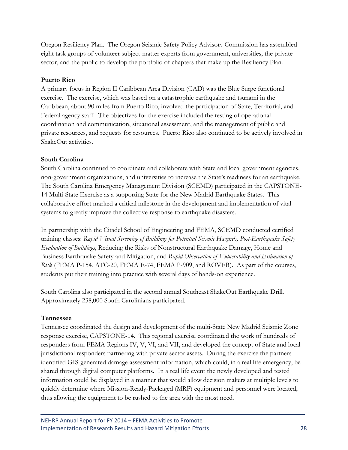Oregon Resiliency Plan. The Oregon Seismic Safety Policy Advisory Commission has assembled eight task groups of volunteer subject-matter experts from government, universities, the private sector, and the public to develop the portfolio of chapters that make up the Resiliency Plan.

#### **Puerto Rico**

A primary focus in Region II Caribbean Area Division (CAD) was the Blue Surge functional exercise. The exercise, which was based on a catastrophic earthquake and tsunami in the Caribbean, about 90 miles from Puerto Rico, involved the participation of State, Territorial, and Federal agency staff. The objectives for the exercise included the testing of operational coordination and communication, situational assessment, and the management of public and private resources, and requests for resources. Puerto Rico also continued to be actively involved in ShakeOut activities.

#### **South Carolina**

South Carolina continued to coordinate and collaborate with State and local government agencies, non-government organizations, and universities to increase the State's readiness for an earthquake. The South Carolina Emergency Management Division (SCEMD) participated in the CAPSTONE-14 Multi-State Exercise as a supporting State for the New Madrid Earthquake States. This collaborative effort marked a critical milestone in the development and implementation of vital systems to greatly improve the collective response to earthquake disasters.

In partnership with the Citadel School of Engineering and FEMA, SCEMD conducted certified training classes: *Rapid Visual Screening of Buildings for Potential Seismic Hazards, Post-Earthquake Safety Evaluation of Buildings*, Reducing the Risks of Nonstructural Earthquake Damage, Home and Business Earthquake Safety and Mitigation, and *Rapid Observation of Vulnerability and Estimation of Risk* (FEMA P-154, ATC-20, FEMA E-74, FEMA P-909, and ROVER). As part of the courses, students put their training into practice with several days of hands-on experience.

South Carolina also participated in the second annual Southeast ShakeOut Earthquake Drill. Approximately 238,000 South Carolinians participated.

#### **Tennessee**

Tennessee coordinated the design and development of the multi-State New Madrid Seismic Zone response exercise, CAPSTONE-14. This regional exercise coordinated the work of hundreds of responders from FEMA Regions IV, V, VI, and VII, and developed the concept of State and local jurisdictional responders partnering with private sector assets. During the exercise the partners identified GIS-generated damage assessment information, which could, in a real life emergency, be shared through digital computer platforms. In a real life event the newly developed and tested information could be displayed in a manner that would allow decision makers at multiple levels to quickly determine where Mission-Ready-Packaged (MRP) equipment and personnel were located, thus allowing the equipment to be rushed to the area with the most need.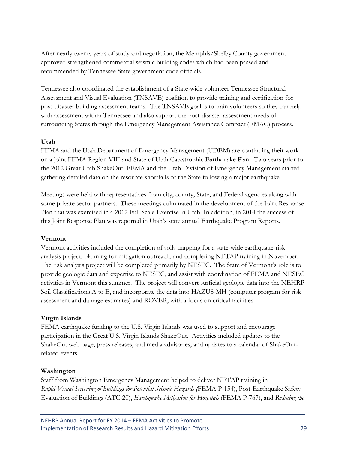After nearly twenty years of study and negotiation, the Memphis/Shelby County government approved strengthened commercial seismic building codes which had been passed and recommended by Tennessee State government code officials.

Tennessee also coordinated the establishment of a State-wide volunteer Tennessee Structural Assessment and Visual Evaluation (TNSAVE) coalition to provide training and certification for post-disaster building assessment teams. The TNSAVE goal is to train volunteers so they can help with assessment within Tennessee and also support the post-disaster assessment needs of surrounding States through the Emergency Management Assistance Compact (EMAC) process.

#### **Utah**

FEMA and the Utah Department of Emergency Management (UDEM) are continuing their work on a joint FEMA Region VIII and State of Utah Catastrophic Earthquake Plan. Two years prior to the 2012 Great Utah ShakeOut, FEMA and the Utah Division of Emergency Management started gathering detailed data on the resource shortfalls of the State following a major earthquake.

Meetings were held with representatives from city, county, State, and Federal agencies along with some private sector partners. These meetings culminated in the development of the Joint Response Plan that was exercised in a 2012 Full Scale Exercise in Utah. In addition, in 2014 the success of this Joint Response Plan was reported in Utah's state annual Earthquake Program Reports.

#### **Vermont**

Vermont activities included the completion of soils mapping for a state-wide earthquake-risk analysis project, planning for mitigation outreach, and completing NETAP training in November. The risk analysis project will be completed primarily by NESEC. The State of Vermont's role is to provide geologic data and expertise to NESEC, and assist with coordination of FEMA and NESEC activities in Vermont this summer. The project will convert surficial geologic data into the NEHRP Soil Classifications A to E, and incorporate the data into HAZUS-MH (computer program for risk assessment and damage estimates) and ROVER, with a focus on critical facilities.

#### **Virgin Islands**

FEMA earthquake funding to the U.S. Virgin Islands was used to support and encourage participation in the Great U.S. Virgin Islands ShakeOut. Activities included updates to the ShakeOut web page, press releases, and media advisories, and updates to a calendar of ShakeOutrelated events.

#### **Washington**

Staff from Washington Emergency Management helped to deliver NETAP training in *Rapid Visual Screening of Buildings for Potential Seismic Hazards (*FEMA P-154), Post-Earthquake Safety Evaluation of Buildings (ATC-20), *Earthquake Mitigation for Hospitals* (FEMA P-767), and *Reducing the*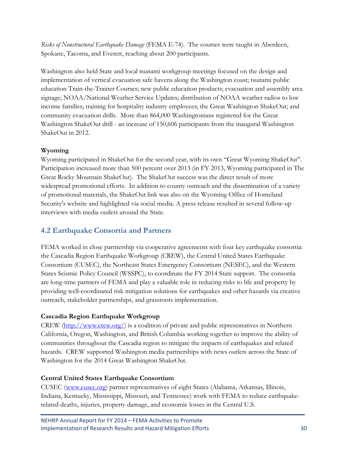*Risks of Nonstructural Earthquake Damage* (FEMA E-74). The courses were taught in Aberdeen, Spokane, Tacoma, and Everett, reaching about 200 participants.

Washington also held State and local tsunami workgroup meetings focused on the design and implementation of vertical evacuation safe havens along the Washington coast; tsunami public education Train-the-Trainer Courses; new public education products; evacuation and assembly area signage; NOAA/National Weather Service Updates; distribution of NOAA weather radios to low income families; training for hospitality industry employees; the Great Washington ShakeOut; and community evacuation drills. More than 864,000 Washingtonians registered for the Great Washington ShakeOut drill - an increase of 150,606 participants from the inaugural Washington ShakeOut in 2012.

#### **Wyoming**

Wyoming participated in ShakeOut for the second year, with its own "Great Wyoming ShakeOut". Participation increased more than 500 percent over 2013 (in FY 2013, Wyoming participated in The Great Rocky Mountain ShakeOut). The ShakeOut success was the direct result of more widespread promotional efforts. In addition to county outreach and the dissemination of a variety of promotional materials, the ShakeOut link was also on the Wyoming Office of Homeland Security's website and highlighted via social media. A press release resulted in several follow-up interviews with media outlets around the State.

### <span id="page-36-0"></span>**4.2 Earthquake Consortia and Partners**

FEMA worked in close partnership via cooperative agreements with four key earthquake consortia: the Cascadia Region Earthquake Workgroup (CREW), the Central United States Earthquake Consortium (CUSEC), the Northeast States Emergency Consortium (NESEC), and the Western States Seismic Policy Council (WSSPC), to coordinate the FY 2014 State support. The consortia are long-time partners of FEMA and play a valuable role in reducing risks to life and property by providing well-coordinated risk mitigation solutions for earthquakes and other hazards via creative outreach, stakeholder partnerships, and grassroots implementation.

#### **Cascadia Region Earthquake Workgroup**

CREW  $(\frac{http://www.crew.org/}{www.crew.org/})$  is a coalition of private and public representatives in Northern California, Oregon, Washington, and British Columbia working together to improve the ability of communities throughout the Cascadia region to mitigate the impacts of earthquakes and related hazards. CREW supported Washington media partnerships with news outlets across the State of Washington for the 2014 Great Washington ShakeOut.

#### **Central United States Earthquake Consortium**

CUSEC [\(www.cusec.org\)](http://www.cusec.org/) partner representatives of eight States (Alabama, Arkansas, Illinois, Indiana, Kentucky, Mississippi, Missouri, and Tennessee) work with FEMA to reduce earthquakerelated deaths, injuries, property damage, and economic losses in the Central U.S.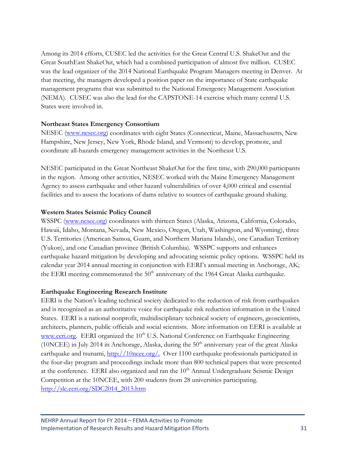Among its 2014 efforts, CUSEC led the activities for the Great Central U.S. ShakeOut and the Great SouthEast ShakeOut, which had a combined participation of almost five million. CUSEC was the lead organizer of the 2014 National Earthquake Program Managers meeting in Denver. At that meeting, the managers developed a position paper on the importance of State earthquake management programs that was submitted to the National Emergency Management Association (NEMA). CUSEC was also the lead for the CAPSTONE-14 exercise which many central U.S. States were involved in.

#### **Northeast States Emergency Consortium**

NESEC [\(www.nesec.org\)](http://www.nesec.org/) coordinates with eight States (Connecticut, Maine, Massachusetts, New Hampshire, New Jersey, New York, Rhode Island, and Vermont) to develop, promote, and coordinate all-hazards emergency management activities in the Northeast U.S.

NESEC participated in the Great Northeast ShakeOut for the first time, with 290,000 participants in the region. Among other activities, NESEC worked with the Maine Emergency Management Agency to assess earthquake and other hazard vulnerabilities of over 4,000 critical and essential facilities and to assess the locations of dams relative to sources of earthquake ground shaking.

#### **Western States Seismic Policy Council**

WSSPC [\(www.nesec.org\)](http://www.nesec.org/) coordinates with thirteen States (Alaska, Arizona, California, Colorado, Hawaii, Idaho, Montana, Nevada, New Mexico, Oregon, Utah, Washington, and Wyoming), three U.S. Territories (American Samoa, Guam, and Northern Mariana Islands), one Canadian Territory (Yukon), and one Canadian province (British Columbia). WSSPC supports and enhances earthquake hazard mitigation by developing and advocating seismic policy options. WSSPC held its calendar year 2014 annual meeting in conjunction with EERI's annual meeting in Anchorage, AK; the EERI meeting commemorated the  $50<sup>th</sup>$  anniversary of the 1964 Great Alaska earthquake.

#### **Earthquake Engineering Research Institute**

EERI is the Nation's leading technical society dedicated to the reduction of risk from earthquakes and is recognized as an authoritative voice for earthquake risk reduction information in the United States. EERI is a national nonprofit, multidisciplinary technical society of engineers, geoscientists, architects, planners, public officials and social scientists. More information on EERI is available at [www.eeri.org.](http://www.eeri.org/) EERI organized the  $10<sup>th</sup>$  U.S. National Conference on Earthquake Engineering (10NCEE) in July 2014 in Anchorage, Alaska, during the  $50<sup>th</sup>$  anniversary year of the great Alaska earthquake and tsunami, [http://10ncee.org/.](http://10ncee.org/) Over 1100 earthquake professionals participated in the four-day program and proceedings include more than 800 technical papers that were presented at the conference. EERI also organized and ran the  $10<sup>th</sup>$  Annual Undergraduate Seismic Design Competition at the 10NCEE, with 200 students from 28 universities participating. [http://slc.eeri.org/SDC2014\\_2015.htm](http://slc.eeri.org/SDC2014_2015.htm)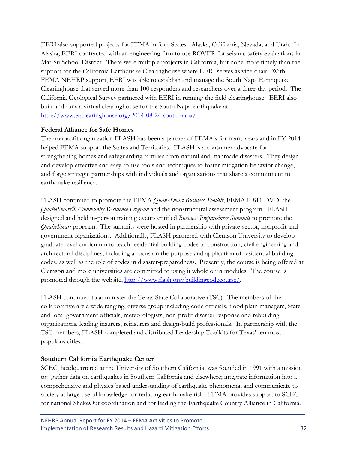EERI also supported projects for FEMA in four States: Alaska, California, Nevada, and Utah. In Alaska, EERI contracted with an engineering firm to use ROVER for seismic safety evaluations in Mat-Su School District. There were multiple projects in California, but none more timely than the support for the California Earthquake Clearinghouse where EERI serves as vice-chair. With FEMA NEHRP support, EERI was able to establish and manage the South Napa Earthquake Clearinghouse that served more than 100 responders and researchers over a three-day period. The California Geological Survey partnered with EERI in running the field clearinghouse. EERI also built and runs a virtual clearinghouse for the South Napa earthquake at <http://www.eqclearinghouse.org/2014-08-24-south-napa/>

#### **Federal Alliance for Safe Homes**

The nonprofit organization FLASH has been a partner of FEMA's for many years and in FY 2014 helped FEMA support the States and Territories. FLASH is a consumer advocate for strengthening homes and safeguarding families from natural and manmade disasters. They design and develop effective and easy-to-use tools and techniques to foster mitigation behavior change, and forge strategic partnerships with individuals and organizations that share a commitment to earthquake resiliency.

FLASH continued to promote the FEMA *QuakeSmart Business Toolkit*, FEMA P-811 DVD, the *QuakeSmart® Community Resilience Program* and the nonstructural assessment program. FLASH designed and held in-person training events entitled *Business Preparedness Summits* to promote the *QuakeSmart* program. The summits were hosted in partnership with private-sector, nonprofit and government organizations. Additionally, FLASH partnered with Clemson University to develop graduate level curriculum to teach residential building codes to construction, civil engineering and architectural disciplines, including a focus on the purpose and application of residential building codes, as well as the role of codes in disaster-preparedness. Presently, the course is being offered at Clemson and more universities are committed to using it whole or in modules. The course is promoted through the website, [http://www.flash.org/buildingcodecourse/.](http://www.flash.org/buildingcodecourse/)

FLASH continued to administer the Texas State Collaborative (TSC). The members of the collaborative are a wide ranging, diverse group including code officials, flood plain managers, State and local government officials, meteorologists, non-profit disaster response and rebuilding organizations, leading insurers, reinsurers and design-build professionals. In partnership with the TSC members, FLASH completed and distributed Leadership Toolkits for Texas' ten most populous cities.

#### **Southern California Earthquake Center**

SCEC, headquartered at the University of Southern California, was founded in 1991 with a mission to: gather data on earthquakes in Southern California and elsewhere; integrate information into a comprehensive and physics-based understanding of earthquake phenomena; and communicate to society at large useful knowledge for reducing earthquake risk. FEMA provides support to SCEC for national ShakeOut coordination and for leading the Earthquake Country Alliance in California.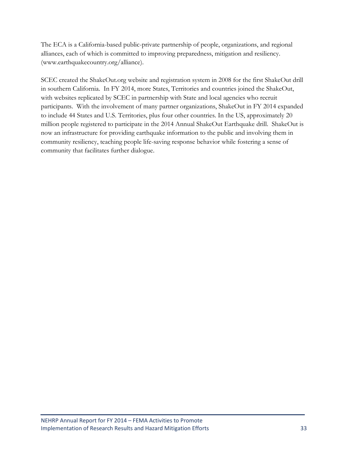The ECA is a California-based public-private partnership of people, organizations, and regional alliances, each of which is committed to improving preparedness, mitigation and resiliency. (www.earthquakecountry.org/alliance).

SCEC created the ShakeOut.org website and registration system in 2008 for the first ShakeOut drill in southern California. In FY 2014, more States, Territories and countries joined the ShakeOut, with websites replicated by SCEC in partnership with State and local agencies who recruit participants. With the involvement of many partner organizations, ShakeOut in FY 2014 expanded to include 44 States and U.S. Territories, plus four other countries. In the US, approximately 20 million people registered to participate in the 2014 Annual ShakeOut Earthquake drill. ShakeOut is now an infrastructure for providing earthquake information to the public and involving them in community resiliency, teaching people life-saving response behavior while fostering a sense of community that facilitates further dialogue.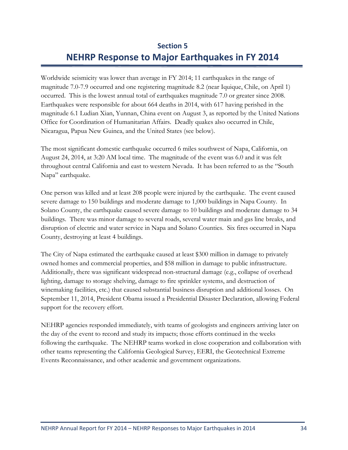# **Section 5 NEHRP Response to Major Earthquakes in FY 2014**

<span id="page-40-0"></span>Worldwide seismicity was lower than average in FY 2014; 11 earthquakes in the range of magnitude 7.0-7.9 occurred and one registering magnitude 8.2 (near Iquique, Chile, on April 1) occurred. This is the lowest annual total of earthquakes magnitude 7.0 or greater since 2008. Earthquakes were responsible for about 664 deaths in 2014, with 617 having perished in the magnitude 6.1 Ludian Xian, Yunnan, China event on August 3, as reported by the United Nations Office for Coordination of Humanitarian Affairs. Deadly quakes also occurred in Chile, Nicaragua, Papua New Guinea, and the United States (see below).

The most significant domestic earthquake occurred 6 miles southwest of Napa, California, on August 24, 2014, at 3:20 AM local time. The magnitude of the event was 6.0 and it was felt throughout central California and east to western Nevada. It has been referred to as the "South Napa" earthquake.

One person was killed and at least 208 people were injured by the earthquake. The event caused severe damage to 150 buildings and moderate damage to 1,000 buildings in Napa County. In Solano County, the earthquake caused severe damage to 10 buildings and moderate damage to 34 buildings. There was minor damage to several roads, several water main and gas line breaks, and disruption of electric and water service in Napa and Solano Counties. Six fires occurred in Napa County, destroying at least 4 buildings.

The City of Napa estimated the earthquake caused at least \$300 million in damage to privately owned homes and commercial properties, and \$58 million in damage to public infrastructure. Additionally, there was significant widespread non-structural damage (e.g., collapse of overhead lighting, damage to storage shelving, damage to fire sprinkler systems, and destruction of winemaking facilities, etc.) that caused substantial business disruption and additional losses. On September 11, 2014, President Obama issued a Presidential Disaster Declaration, allowing Federal support for the recovery effort.

NEHRP agencies responded immediately, with teams of geologists and engineers arriving later on the day of the event to record and study its impacts; those efforts continued in the weeks following the earthquake. The NEHRP teams worked in close cooperation and collaboration with other teams representing the California Geological Survey, EERI, the Geotechnical Extreme Events Reconnaissance, and other academic and government organizations.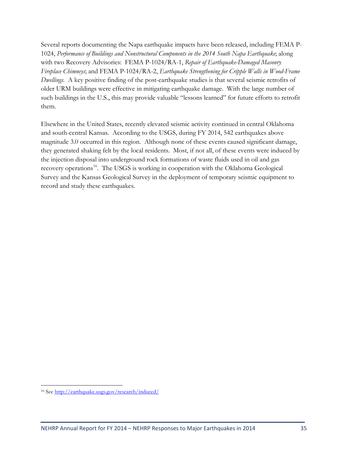Several reports documenting the Napa earthquake impacts have been released, including FEMA P-1024, *Performance of Buildings and Nonstructural Components in the 2014 South Napa Earthquake*; along with two Recovery Advisories: FEMA P-1024/RA-1, *Repair of Earthquake-Damaged Masonry Fireplace Chimneys*; and FEMA P-1024/RA-2, *Earthquake Strengthening for Cripple Walls in Wood-Frame Dwellings*. A key positive finding of the post-earthquake studies is that several seismic retrofits of older URM buildings were effective in mitigating earthquake damage. With the large number of such buildings in the U.S., this may provide valuable "lessons learned" for future efforts to retrofit them.

Elsewhere in the United States, recently elevated seismic activity continued in central Oklahoma and south-central Kansas. According to the USGS, during FY 2014, 542 earthquakes above magnitude 3.0 occurred in this region. Although none of these events caused significant damage, they generated shaking felt by the local residents. Most, if not all, of these events were induced by the injection disposal into underground rock formations of waste fluids used in oil and gas recovery operations<sup>16</sup>. The USGS is working in cooperation with the Oklahoma Geological Survey and the Kansas Geological Survey in the deployment of temporary seismic equipment to record and study these earthquakes.

<span id="page-41-0"></span> $\overline{a}$ <sup>16</sup> See<http://earthquake.usgs.gov/research/induced/>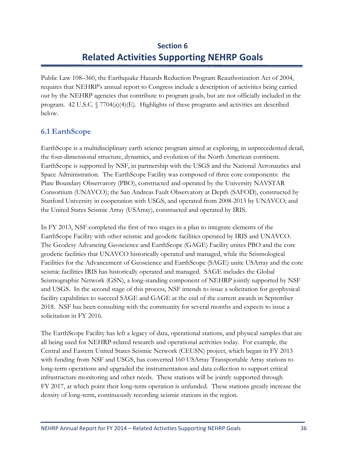# **Section 6 Related Activities Supporting NEHRP Goals**

<span id="page-42-0"></span>Public Law 108–360, the Earthquake Hazards Reduction Program Reauthorization Act of 2004, requires that NEHRP's annual report to Congress include a description of activities being carried out by the NEHRP agencies that contribute to program goals, but are not officially included in the program. 42 U.S.C.  $\sqrt{7704(a)(4)(E)}$ . Highlights of these programs and activities are described below.

### <span id="page-42-1"></span>**6.1 EarthScope**

EarthScope is a multidisciplinary earth science program aimed at exploring, in unprecedented detail, the four-dimensional structure, dynamics, and evolution of the North American continent. EarthScope is supported by NSF, in partnership with the USGS and the National Aeronautics and Space Administration. The EarthScope Facility was composed of three core components: the Plate Boundary Observatory (PBO), constructed and operated by the University NAVSTAR Consortium (UNAVCO); the San Andreas Fault Observatory at Depth (SAFOD), constructed by Stanford University in cooperation with USGS, and operated from 2008-2013 by UNAVCO; and the United States Seismic Array (USArray), constructed and operated by IRIS.

In FY 2013, NSF completed the first of two stages in a plan to integrate elements of the EarthScope Facility with other seismic and geodetic facilities operated by IRIS and UNAVCO. The Geodesy Advancing Geoscience and EarthScope (GAGE) Facility unites PBO and the core geodetic facilities that UNAVCO historically operated and managed, while the Seismological Facilities for the Advancement of Geoscience and EarthScope (SAGE) unite USArray and the core seismic facilities IRIS has historically operated and managed. SAGE includes the Global Seismographic Network (GSN), a long-standing component of NEHRP jointly supported by NSF and USGS. In the second stage of this process, NSF intends to issue a solicitation for geophysical facility capabilities to succeed SAGE and GAGE at the end of the current awards in September 2018. NSF has been consulting with the community for several months and expects to issue a solicitation in FY 2016.

The EarthScope Facility has left a legacy of data, operational stations, and physical samples that are all being used for NEHRP-related research and operational activities today. For example, the Central and Eastern United States Seismic Network (CEUSN) project, which began in FY 2013 with funding from NSF and USGS, has converted 160 USArray Transportable Array stations to long-term operations and upgraded the instrumentation and data collection to support critical infrastructure monitoring and other needs. These stations will be jointly supported through FY 2017, at which point their long-term operation is unfunded. These stations greatly increase the density of long-term, continuously recording seismic stations in the region.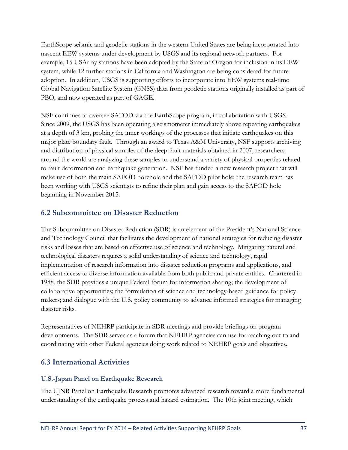EarthScope seismic and geodetic stations in the western United States are being incorporated into nascent EEW systems under development by USGS and its regional network partners. For example, 15 USArray stations have been adopted by the State of Oregon for inclusion in its EEW system, while 12 further stations in California and Washington are being considered for future adoption. In addition, USGS is supporting efforts to incorporate into EEW systems real-time Global Navigation Satellite System (GNSS) data from geodetic stations originally installed as part of PBO, and now operated as part of GAGE.

NSF continues to oversee SAFOD via the EarthScope program, in collaboration with USGS. Since 2009, the USGS has been operating a seismometer immediately above repeating earthquakes at a depth of 3 km, probing the inner workings of the processes that initiate earthquakes on this major plate boundary fault. Through an award to Texas A&M University, NSF supports archiving and distribution of physical samples of the deep fault materials obtained in 2007; researchers around the world are analyzing these samples to understand a variety of physical properties related to fault deformation and earthquake generation. NSF has funded a new research project that will make use of both the main SAFOD borehole and the SAFOD pilot hole; the research team has been working with USGS scientists to refine their plan and gain access to the SAFOD hole beginning in November 2015.

#### <span id="page-43-0"></span>**6.2 Subcommittee on Disaster Reduction**

The Subcommittee on Disaster Reduction (SDR) is an element of the President's National Science and Technology Council that facilitates the development of national strategies for reducing disaster risks and losses that are based on effective use of science and technology. Mitigating natural and technological disasters requires a solid understanding of science and technology, rapid implementation of research information into disaster reduction programs and applications, and efficient access to diverse information available from both public and private entities. Chartered in 1988, the SDR provides a unique Federal forum for information sharing; the development of collaborative opportunities; the formulation of science and technology-based guidance for policy makers; and dialogue with the U.S. policy community to advance informed strategies for managing disaster risks.

Representatives of NEHRP participate in SDR meetings and provide briefings on program developments. The SDR serves as a forum that NEHRP agencies can use for reaching out to and coordinating with other Federal agencies doing work related to NEHRP goals and objectives.

### <span id="page-43-1"></span>**6.3 International Activities**

#### **U.S.-Japan Panel on Earthquake Research**

The UJNR Panel on Earthquake Research promotes advanced research toward a more fundamental understanding of the earthquake process and hazard estimation. The 10th joint meeting, which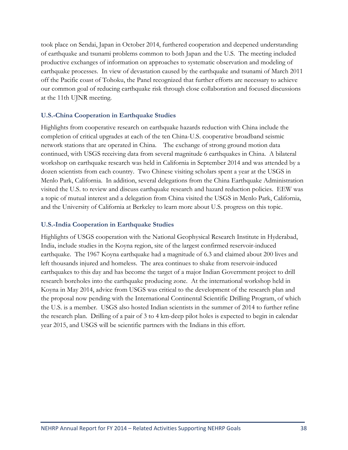took place on Sendai, Japan in October 2014, furthered cooperation and deepened understanding of earthquake and tsunami problems common to both Japan and the U.S. The meeting included productive exchanges of information on approaches to systematic observation and modeling of earthquake processes. In view of devastation caused by the earthquake and tsunami of March 2011 off the Pacific coast of Tohoku, the Panel recognized that further efforts are necessary to achieve our common goal of reducing earthquake risk through close collaboration and focused discussions at the 11th UJNR meeting.

#### **U.S.-China Cooperation in Earthquake Studies**

Highlights from cooperative research on earthquake hazards reduction with China include the completion of critical upgrades at each of the ten China-U.S. cooperative broadband seismic network stations that are operated in China. The exchange of strong ground motion data continued, with USGS receiving data from several magnitude 6 earthquakes in China. A bilateral workshop on earthquake research was held in California in September 2014 and was attended by a dozen scientists from each country. Two Chinese visiting scholars spent a year at the USGS in Menlo Park, California. In addition, several delegations from the China Earthquake Administration visited the U.S. to review and discuss earthquake research and hazard reduction policies. EEW was a topic of mutual interest and a delegation from China visited the USGS in Menlo Park, California, and the University of California at Berkeley to learn more about U.S. progress on this topic.

#### **U.S.-India Cooperation in Earthquake Studies**

Highlights of USGS cooperation with the National Geophysical Research Institute in Hyderabad, India, include studies in the Koyna region, site of the largest confirmed reservoir-induced earthquake. The 1967 Koyna earthquake had a magnitude of 6.3 and claimed about 200 lives and left thousands injured and homeless. The area continues to shake from reservoir-induced earthquakes to this day and has become the target of a major Indian Government project to drill research boreholes into the earthquake producing zone. At the international workshop held in Koyna in May 2014, advice from USGS was critical to the development of the research plan and the proposal now pending with the International Continental Scientific Drilling Program, of which the U.S. is a member. USGS also hosted Indian scientists in the summer of 2014 to further refine the research plan. Drilling of a pair of 3 to 4 km-deep pilot holes is expected to begin in calendar year 2015, and USGS will be scientific partners with the Indians in this effort.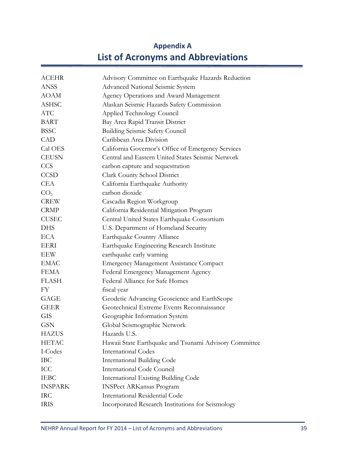# **Appendix A List of Acronyms and Abbreviations**

<span id="page-45-0"></span>

| <b>ACEHR</b>    | Advisory Committee on Earthquake Hazards Reduction     |
|-----------------|--------------------------------------------------------|
| <b>ANSS</b>     | Advanced National Seismic System                       |
| <b>AOAM</b>     | Agency Operations and Award Management                 |
| <b>ASHSC</b>    | Alaskan Seismic Hazards Safety Commission              |
| <b>ATC</b>      | Applied Technology Council                             |
| <b>BART</b>     | Bay Area Rapid Transit District                        |
| <b>BSSC</b>     | <b>Building Seismic Safety Council</b>                 |
| <b>CAD</b>      | Caribbean Area Division                                |
| Cal OES         | California Governor's Office of Emergency Services     |
| <b>CEUSN</b>    | Central and Eastern United States Seismic Network      |
| <b>CCS</b>      | carbon capture and sequestration                       |
| <b>CCSD</b>     | Clark County School District                           |
| <b>CEA</b>      | California Earthquake Authority                        |
| CO <sub>2</sub> | carbon dioxide                                         |
| <b>CREW</b>     | Cascadia Region Workgroup                              |
| <b>CRMP</b>     | California Residential Mitigation Program              |
| <b>CUSEC</b>    | Central United States Earthquake Consortium            |
| <b>DHS</b>      | U.S. Department of Homeland Security                   |
| <b>ECA</b>      | Earthquake Country Alliance                            |
| EERI            | Earthquake Engineering Research Institute              |
| EEW             | earthquake early warning                               |
| <b>EMAC</b>     | <b>Emergency Management Assistance Compact</b>         |
| <b>FEMA</b>     | Federal Emergency Management Agency                    |
| <b>FLASH</b>    | Federal Alliance for Safe Homes                        |
| FY              | fiscal year                                            |
| GAGE            | Geodetic Advancing Geoscience and EarthScope           |
| <b>GEER</b>     | Geotechnical Extreme Events Reconnaissance             |
| <b>GIS</b>      | Geographic Information System                          |
| <b>GSN</b>      | Global Seismographic Network                           |
| <b>HAZUS</b>    | Hazards U.S.                                           |
| <b>HETAC</b>    | Hawaii State Earthquake and Tsunami Advisory Committee |
| I-Codes         | <b>International Codes</b>                             |
| <b>IBC</b>      | <b>International Building Code</b>                     |
| ICC             | International Code Council                             |
| <b>IEBC</b>     | <b>International Existing Building Code</b>            |
| <b>INSPARK</b>  | <b>INSPect ARKansas Program</b>                        |
| <b>IRC</b>      | <b>International Residential Code</b>                  |
| <b>IRIS</b>     | Incorporated Research Institutions for Seismology      |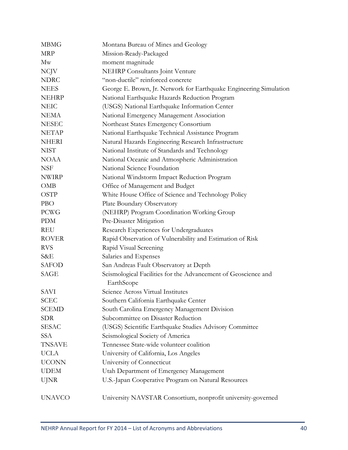| <b>MBMG</b>   | Montana Bureau of Mines and Geology                                          |
|---------------|------------------------------------------------------------------------------|
| <b>MRP</b>    | Mission-Ready-Packaged                                                       |
| Mw            | moment magnitude                                                             |
| <b>NCJV</b>   | <b>NEHRP</b> Consultants Joint Venture                                       |
| <b>NDRC</b>   | "non-ductile" reinforced concrete                                            |
| <b>NEES</b>   | George E. Brown, Jr. Network for Earthquake Engineering Simulation           |
| <b>NEHRP</b>  | National Earthquake Hazards Reduction Program                                |
| <b>NEIC</b>   | (USGS) National Earthquake Information Center                                |
| <b>NEMA</b>   | National Emergency Management Association                                    |
| <b>NESEC</b>  | Northeast States Emergency Consortium                                        |
| <b>NETAP</b>  | National Earthquake Technical Assistance Program                             |
| <b>NHERI</b>  | Natural Hazards Engineering Research Infrastructure                          |
| <b>NIST</b>   | National Institute of Standards and Technology                               |
| <b>NOAA</b>   | National Oceanic and Atmospheric Administration                              |
| <b>NSF</b>    | National Science Foundation                                                  |
| <b>NWIRP</b>  | National Windstorm Impact Reduction Program                                  |
| <b>OMB</b>    | Office of Management and Budget                                              |
| <b>OSTP</b>   | White House Office of Science and Technology Policy                          |
| <b>PBO</b>    | Plate Boundary Observatory                                                   |
| <b>PCWG</b>   | (NEHRP) Program Coordination Working Group                                   |
| <b>PDM</b>    | Pre-Disaster Mitigation                                                      |
| REU           | Research Experiences for Undergraduates                                      |
| <b>ROVER</b>  | Rapid Observation of Vulnerability and Estimation of Risk                    |
| <b>RVS</b>    | Rapid Visual Screening                                                       |
| S&E           | Salaries and Expenses                                                        |
| <b>SAFOD</b>  | San Andreas Fault Observatory at Depth                                       |
| SAGE          | Seismological Facilities for the Advancement of Geoscience and<br>EarthScope |
| <b>SAVI</b>   | Science Across Virtual Institutes                                            |
| <b>SCEC</b>   | Southern California Earthquake Center                                        |
| <b>SCEMD</b>  | South Carolina Emergency Management Division                                 |
| <b>SDR</b>    | Subcommittee on Disaster Reduction                                           |
| <b>SESAC</b>  | (USGS) Scientific Earthquake Studies Advisory Committee                      |
| <b>SSA</b>    | Seismological Society of America                                             |
| <b>TNSAVE</b> | Tennessee State-wide volunteer coalition                                     |
| <b>UCLA</b>   | University of California, Los Angeles                                        |
| <b>UCONN</b>  | University of Connecticut                                                    |
| <b>UDEM</b>   | Utah Department of Emergency Management                                      |
| <b>UJNR</b>   | U.S.-Japan Cooperative Program on Natural Resources                          |
| <b>UNAVCO</b> | University NAVSTAR Consortium, nonprofit university-governed                 |